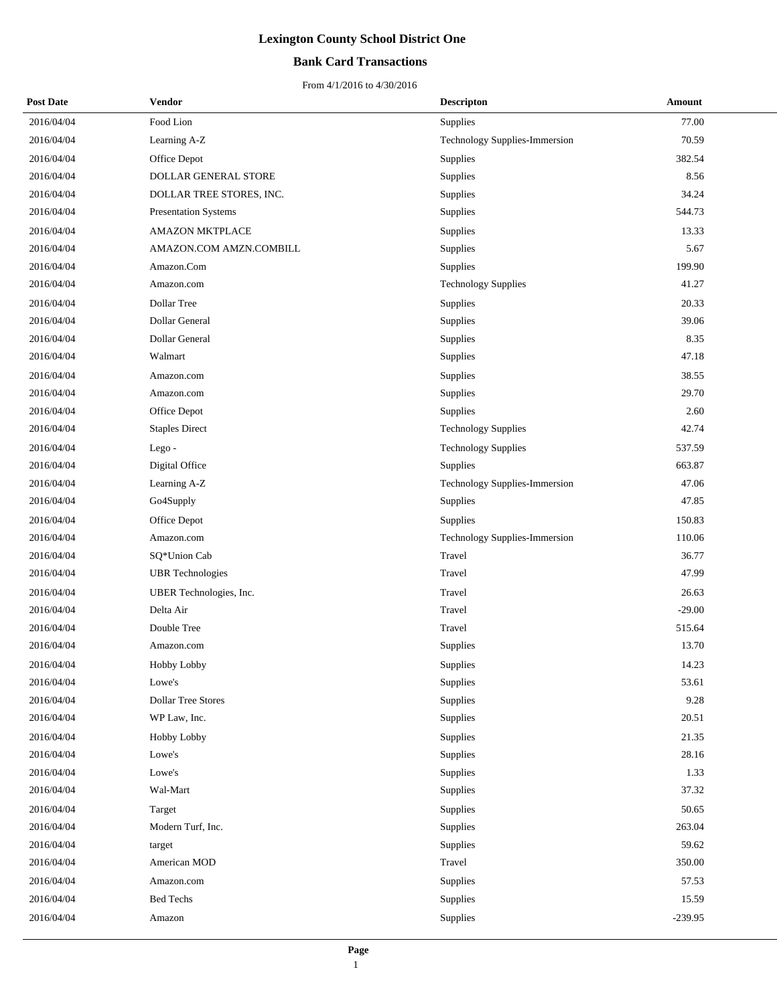## **Bank Card Transactions**

| <b>Post Date</b> | <b>Vendor</b>             | <b>Descripton</b>             | Amount    |
|------------------|---------------------------|-------------------------------|-----------|
| 2016/04/04       | Food Lion                 | <b>Supplies</b>               | 77.00     |
| 2016/04/04       | Learning A-Z              | Technology Supplies-Immersion | 70.59     |
| 2016/04/04       | Office Depot              | Supplies                      | 382.54    |
| 2016/04/04       | DOLLAR GENERAL STORE      | Supplies                      | 8.56      |
| 2016/04/04       | DOLLAR TREE STORES, INC.  | <b>Supplies</b>               | 34.24     |
| 2016/04/04       | Presentation Systems      | Supplies                      | 544.73    |
| 2016/04/04       | <b>AMAZON MKTPLACE</b>    | Supplies                      | 13.33     |
| 2016/04/04       | AMAZON.COM AMZN.COMBILL   | Supplies                      | 5.67      |
| 2016/04/04       | Amazon.Com                | Supplies                      | 199.90    |
| 2016/04/04       | Amazon.com                | <b>Technology Supplies</b>    | 41.27     |
| 2016/04/04       | Dollar Tree               | Supplies                      | 20.33     |
| 2016/04/04       | Dollar General            | Supplies                      | 39.06     |
| 2016/04/04       | Dollar General            | Supplies                      | 8.35      |
| 2016/04/04       | Walmart                   | Supplies                      | 47.18     |
| 2016/04/04       | Amazon.com                | Supplies                      | 38.55     |
| 2016/04/04       | Amazon.com                | Supplies                      | 29.70     |
| 2016/04/04       | Office Depot              | Supplies                      | 2.60      |
| 2016/04/04       | <b>Staples Direct</b>     | <b>Technology Supplies</b>    | 42.74     |
| 2016/04/04       | Lego-                     | <b>Technology Supplies</b>    | 537.59    |
| 2016/04/04       | Digital Office            | Supplies                      | 663.87    |
| 2016/04/04       | Learning A-Z              | Technology Supplies-Immersion | 47.06     |
| 2016/04/04       | Go4Supply                 | Supplies                      | 47.85     |
| 2016/04/04       | Office Depot              | <b>Supplies</b>               | 150.83    |
| 2016/04/04       | Amazon.com                | Technology Supplies-Immersion | 110.06    |
| 2016/04/04       | SQ*Union Cab              | Travel                        | 36.77     |
| 2016/04/04       | <b>UBR</b> Technologies   | Travel                        | 47.99     |
| 2016/04/04       | UBER Technologies, Inc.   | Travel                        | 26.63     |
| 2016/04/04       | Delta Air                 | Travel                        | $-29.00$  |
| 2016/04/04       | Double Tree               | Travel                        | 515.64    |
| 2016/04/04       | Amazon.com                | Supplies                      | 13.70     |
| 2016/04/04       | Hobby Lobby               | Supplies                      | 14.23     |
| 2016/04/04       | Lowe's                    | Supplies                      | 53.61     |
| 2016/04/04       | <b>Dollar Tree Stores</b> | Supplies                      | 9.28      |
| 2016/04/04       | WP Law, Inc.              | Supplies                      | 20.51     |
| 2016/04/04       | Hobby Lobby               | Supplies                      | 21.35     |
| 2016/04/04       | Lowe's                    | Supplies                      | 28.16     |
| 2016/04/04       | Lowe's                    | Supplies                      | 1.33      |
| 2016/04/04       | Wal-Mart                  | Supplies                      | 37.32     |
| 2016/04/04       | Target                    | Supplies                      | 50.65     |
| 2016/04/04       | Modern Turf, Inc.         | Supplies                      | 263.04    |
| 2016/04/04       | target                    | Supplies                      | 59.62     |
| 2016/04/04       | American MOD              | Travel                        | 350.00    |
| 2016/04/04       | Amazon.com                | Supplies                      | 57.53     |
| 2016/04/04       | <b>Bed Techs</b>          | Supplies                      | 15.59     |
| 2016/04/04       | Amazon                    | Supplies                      | $-239.95$ |
|                  |                           |                               |           |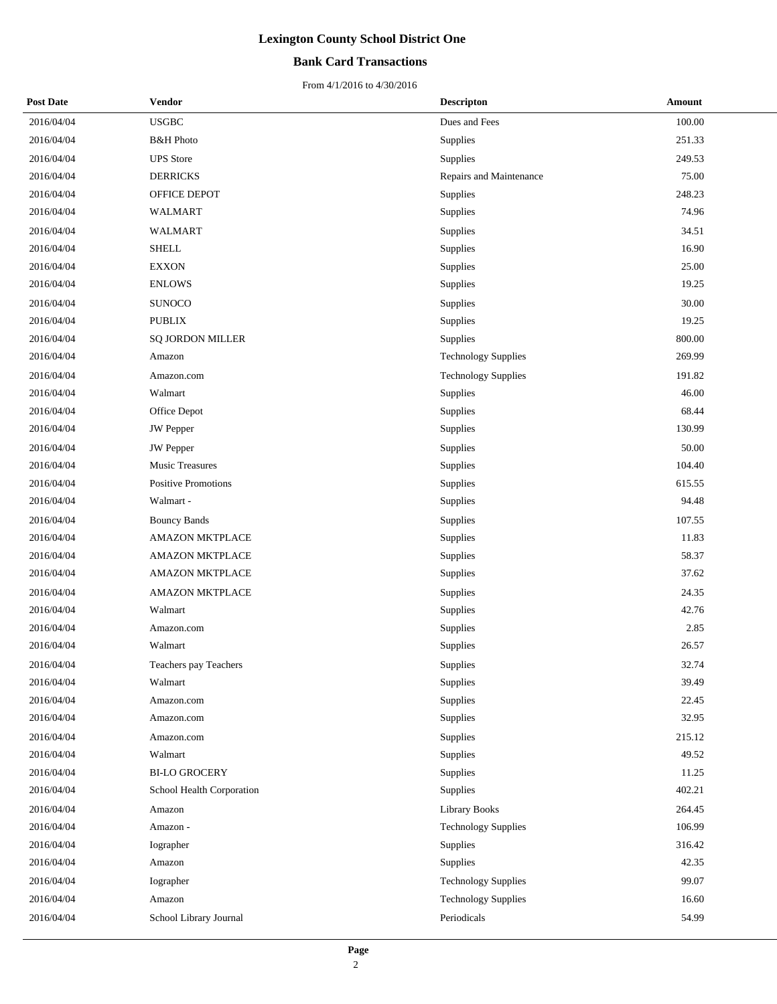### **Bank Card Transactions**

| <b>Post Date</b> | Vendor                     | <b>Descripton</b>          | Amount |
|------------------|----------------------------|----------------------------|--------|
| 2016/04/04       | <b>USGBC</b>               | Dues and Fees              | 100.00 |
| 2016/04/04       | <b>B&amp;H</b> Photo       | Supplies                   | 251.33 |
| 2016/04/04       | <b>UPS</b> Store           | Supplies                   | 249.53 |
| 2016/04/04       | <b>DERRICKS</b>            | Repairs and Maintenance    | 75.00  |
| 2016/04/04       | OFFICE DEPOT               | Supplies                   | 248.23 |
| 2016/04/04       | WALMART                    | Supplies                   | 74.96  |
| 2016/04/04       | <b>WALMART</b>             | Supplies                   | 34.51  |
| 2016/04/04       | <b>SHELL</b>               | Supplies                   | 16.90  |
| 2016/04/04       | <b>EXXON</b>               | Supplies                   | 25.00  |
| 2016/04/04       | <b>ENLOWS</b>              | Supplies                   | 19.25  |
| 2016/04/04       | <b>SUNOCO</b>              | Supplies                   | 30.00  |
| 2016/04/04       | <b>PUBLIX</b>              | Supplies                   | 19.25  |
| 2016/04/04       | <b>SQ JORDON MILLER</b>    | <b>Supplies</b>            | 800.00 |
| 2016/04/04       | Amazon                     | <b>Technology Supplies</b> | 269.99 |
| 2016/04/04       | Amazon.com                 | <b>Technology Supplies</b> | 191.82 |
| 2016/04/04       | Walmart                    | Supplies                   | 46.00  |
| 2016/04/04       | Office Depot               | <b>Supplies</b>            | 68.44  |
| 2016/04/04       | JW Pepper                  | Supplies                   | 130.99 |
| 2016/04/04       | JW Pepper                  | Supplies                   | 50.00  |
| 2016/04/04       | <b>Music Treasures</b>     | Supplies                   | 104.40 |
| 2016/04/04       | <b>Positive Promotions</b> | Supplies                   | 615.55 |
| 2016/04/04       | Walmart -                  | Supplies                   | 94.48  |
| 2016/04/04       | <b>Bouncy Bands</b>        | Supplies                   | 107.55 |
| 2016/04/04       | <b>AMAZON MKTPLACE</b>     | Supplies                   | 11.83  |
| 2016/04/04       | <b>AMAZON MKTPLACE</b>     | Supplies                   | 58.37  |
| 2016/04/04       | AMAZON MKTPLACE            | Supplies                   | 37.62  |
| 2016/04/04       | <b>AMAZON MKTPLACE</b>     | Supplies                   | 24.35  |
| 2016/04/04       | Walmart                    | Supplies                   | 42.76  |
| 2016/04/04       | Amazon.com                 | Supplies                   | 2.85   |
| 2016/04/04       | Walmart                    | <b>Supplies</b>            | 26.57  |
| 2016/04/04       | Teachers pay Teachers      | Supplies                   | 32.74  |
| 2016/04/04       | Walmart                    | Supplies                   | 39.49  |
| 2016/04/04       | Amazon.com                 | <b>Supplies</b>            | 22.45  |
| 2016/04/04       | Amazon.com                 | Supplies                   | 32.95  |
| 2016/04/04       | Amazon.com                 | Supplies                   | 215.12 |
| 2016/04/04       | Walmart                    | Supplies                   | 49.52  |
| 2016/04/04       | <b>BI-LO GROCERY</b>       | Supplies                   | 11.25  |
| 2016/04/04       | School Health Corporation  | Supplies                   | 402.21 |
| 2016/04/04       | Amazon                     | <b>Library Books</b>       | 264.45 |
| 2016/04/04       | Amazon -                   | <b>Technology Supplies</b> | 106.99 |
| 2016/04/04       | Iographer                  | Supplies                   | 316.42 |
| 2016/04/04       | Amazon                     | Supplies                   | 42.35  |
| 2016/04/04       | Iographer                  | <b>Technology Supplies</b> | 99.07  |
| 2016/04/04       | Amazon                     | <b>Technology Supplies</b> | 16.60  |
| 2016/04/04       | School Library Journal     | Periodicals                | 54.99  |
|                  |                            |                            |        |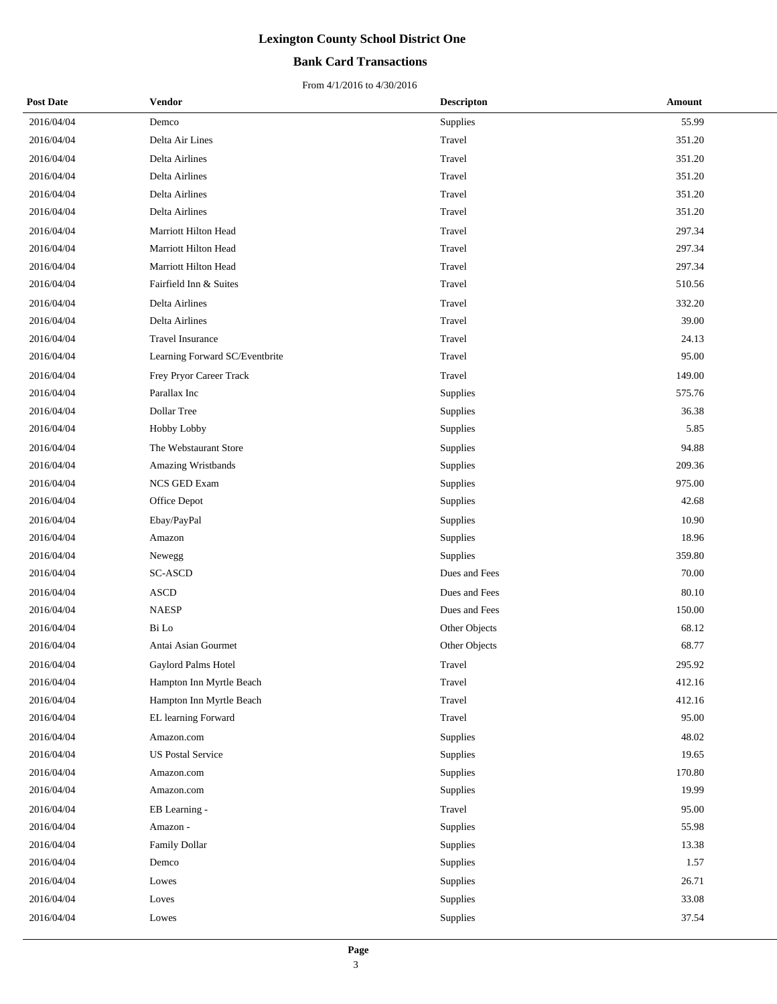### **Bank Card Transactions**

| <b>Post Date</b> | Vendor                         | <b>Descripton</b> | Amount |
|------------------|--------------------------------|-------------------|--------|
| 2016/04/04       | Demco                          | Supplies          | 55.99  |
| 2016/04/04       | Delta Air Lines                | Travel            | 351.20 |
| 2016/04/04       | Delta Airlines                 | Travel            | 351.20 |
| 2016/04/04       | Delta Airlines                 | Travel            | 351.20 |
| 2016/04/04       | Delta Airlines                 | Travel            | 351.20 |
| 2016/04/04       | Delta Airlines                 | Travel            | 351.20 |
| 2016/04/04       | Marriott Hilton Head           | Travel            | 297.34 |
| 2016/04/04       | Marriott Hilton Head           | Travel            | 297.34 |
| 2016/04/04       | Marriott Hilton Head           | Travel            | 297.34 |
| 2016/04/04       | Fairfield Inn & Suites         | Travel            | 510.56 |
| 2016/04/04       | Delta Airlines                 | Travel            | 332.20 |
| 2016/04/04       | Delta Airlines                 | Travel            | 39.00  |
| 2016/04/04       | Travel Insurance               | Travel            | 24.13  |
| 2016/04/04       | Learning Forward SC/Eventbrite | Travel            | 95.00  |
| 2016/04/04       | Frey Pryor Career Track        | Travel            | 149.00 |
| 2016/04/04       | Parallax Inc                   | Supplies          | 575.76 |
| 2016/04/04       | Dollar Tree                    | Supplies          | 36.38  |
| 2016/04/04       | Hobby Lobby                    | Supplies          | 5.85   |
| 2016/04/04       | The Webstaurant Store          | Supplies          | 94.88  |
| 2016/04/04       | Amazing Wristbands             | Supplies          | 209.36 |
| 2016/04/04       | NCS GED Exam                   | Supplies          | 975.00 |
| 2016/04/04       | Office Depot                   | Supplies          | 42.68  |
| 2016/04/04       | Ebay/PayPal                    | Supplies          | 10.90  |
| 2016/04/04       | Amazon                         | Supplies          | 18.96  |
| 2016/04/04       | Newegg                         | Supplies          | 359.80 |
| 2016/04/04       | <b>SC-ASCD</b>                 | Dues and Fees     | 70.00  |
| 2016/04/04       | <b>ASCD</b>                    | Dues and Fees     | 80.10  |
| 2016/04/04       | <b>NAESP</b>                   | Dues and Fees     | 150.00 |
| 2016/04/04       | Bi Lo                          | Other Objects     | 68.12  |
| 2016/04/04       | Antai Asian Gourmet            | Other Objects     | 68.77  |
| 2016/04/04       | Gaylord Palms Hotel            | Travel            | 295.92 |
| 2016/04/04       | Hampton Inn Myrtle Beach       | Travel            | 412.16 |
| 2016/04/04       | Hampton Inn Myrtle Beach       | Travel            | 412.16 |
| 2016/04/04       | EL learning Forward            | Travel            | 95.00  |
| 2016/04/04       | Amazon.com                     | Supplies          | 48.02  |
| 2016/04/04       | <b>US Postal Service</b>       | Supplies          | 19.65  |
| 2016/04/04       | Amazon.com                     | Supplies          | 170.80 |
| 2016/04/04       | Amazon.com                     | Supplies          | 19.99  |
| 2016/04/04       | EB Learning -                  | Travel            | 95.00  |
| 2016/04/04       | Amazon -                       | Supplies          | 55.98  |
| 2016/04/04       | Family Dollar                  | Supplies          | 13.38  |
| 2016/04/04       | Demco                          | Supplies          | 1.57   |
| 2016/04/04       | Lowes                          | Supplies          | 26.71  |
| 2016/04/04       | Loves                          | Supplies          | 33.08  |
| 2016/04/04       | Lowes                          | Supplies          | 37.54  |
|                  |                                |                   |        |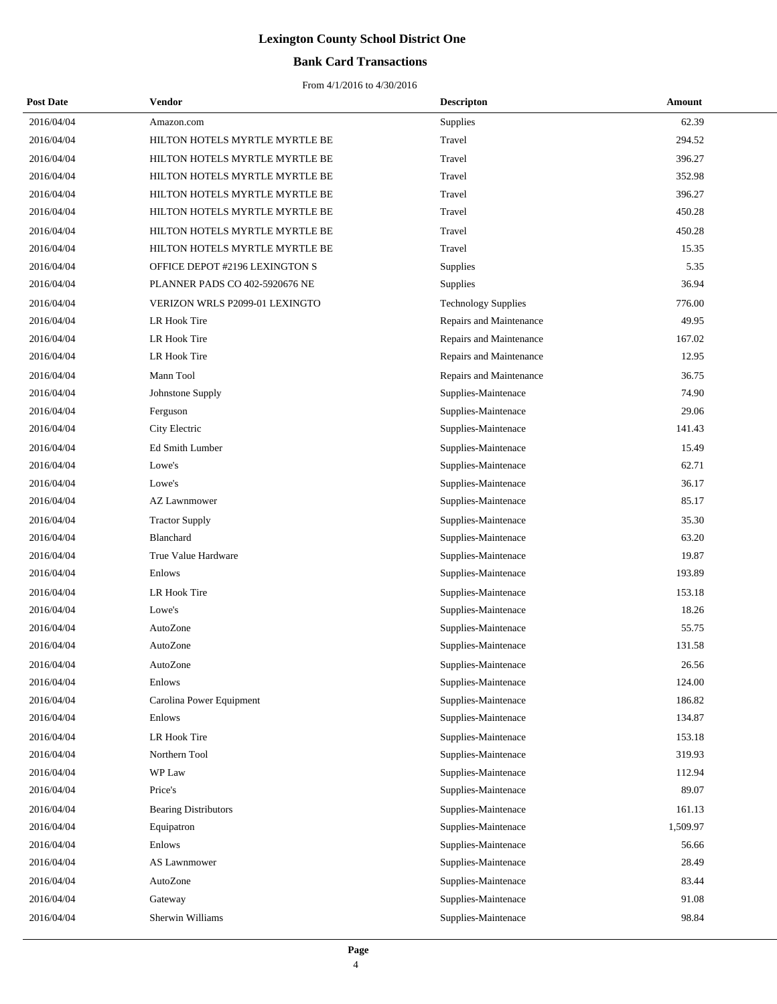## **Bank Card Transactions**

| <b>Post Date</b> | Vendor                         | <b>Descripton</b>          | Amount   |
|------------------|--------------------------------|----------------------------|----------|
| 2016/04/04       | Amazon.com                     | <b>Supplies</b>            | 62.39    |
| 2016/04/04       | HILTON HOTELS MYRTLE MYRTLE BE | Travel                     | 294.52   |
| 2016/04/04       | HILTON HOTELS MYRTLE MYRTLE BE | Travel                     | 396.27   |
| 2016/04/04       | HILTON HOTELS MYRTLE MYRTLE BE | Travel                     | 352.98   |
| 2016/04/04       | HILTON HOTELS MYRTLE MYRTLE BE | Travel                     | 396.27   |
| 2016/04/04       | HILTON HOTELS MYRTLE MYRTLE BE | Travel                     | 450.28   |
| 2016/04/04       | HILTON HOTELS MYRTLE MYRTLE BE | Travel                     | 450.28   |
| 2016/04/04       | HILTON HOTELS MYRTLE MYRTLE BE | Travel                     | 15.35    |
| 2016/04/04       | OFFICE DEPOT #2196 LEXINGTON S | Supplies                   | 5.35     |
| 2016/04/04       | PLANNER PADS CO 402-5920676 NE | <b>Supplies</b>            | 36.94    |
| 2016/04/04       | VERIZON WRLS P2099-01 LEXINGTO | <b>Technology Supplies</b> | 776.00   |
| 2016/04/04       | LR Hook Tire                   | Repairs and Maintenance    | 49.95    |
| 2016/04/04       | LR Hook Tire                   | Repairs and Maintenance    | 167.02   |
| 2016/04/04       | LR Hook Tire                   | Repairs and Maintenance    | 12.95    |
| 2016/04/04       | Mann Tool                      | Repairs and Maintenance    | 36.75    |
| 2016/04/04       | Johnstone Supply               | Supplies-Maintenace        | 74.90    |
| 2016/04/04       | Ferguson                       | Supplies-Maintenace        | 29.06    |
| 2016/04/04       | City Electric                  | Supplies-Maintenace        | 141.43   |
| 2016/04/04       | Ed Smith Lumber                | Supplies-Maintenace        | 15.49    |
| 2016/04/04       | Lowe's                         | Supplies-Maintenace        | 62.71    |
| 2016/04/04       | Lowe's                         | Supplies-Maintenace        | 36.17    |
| 2016/04/04       | <b>AZ Lawnmower</b>            | Supplies-Maintenace        | 85.17    |
| 2016/04/04       | <b>Tractor Supply</b>          | Supplies-Maintenace        | 35.30    |
| 2016/04/04       | Blanchard                      | Supplies-Maintenace        | 63.20    |
| 2016/04/04       | True Value Hardware            | Supplies-Maintenace        | 19.87    |
| 2016/04/04       | Enlows                         | Supplies-Maintenace        | 193.89   |
| 2016/04/04       | LR Hook Tire                   | Supplies-Maintenace        | 153.18   |
| 2016/04/04       | Lowe's                         | Supplies-Maintenace        | 18.26    |
| 2016/04/04       | AutoZone                       | Supplies-Maintenace        | 55.75    |
| 2016/04/04       | AutoZone                       | Supplies-Maintenace        | 131.58   |
| 2016/04/04       | AutoZone                       | Supplies-Maintenace        | 26.56    |
| 2016/04/04       | Enlows                         | Supplies-Maintenace        | 124.00   |
| 2016/04/04       | Carolina Power Equipment       | Supplies-Maintenace        | 186.82   |
| 2016/04/04       | Enlows                         | Supplies-Maintenace        | 134.87   |
| 2016/04/04       | LR Hook Tire                   | Supplies-Maintenace        | 153.18   |
| 2016/04/04       | Northern Tool                  | Supplies-Maintenace        | 319.93   |
| 2016/04/04       | WP Law                         | Supplies-Maintenace        | 112.94   |
| 2016/04/04       | Price's                        | Supplies-Maintenace        | 89.07    |
| 2016/04/04       | <b>Bearing Distributors</b>    | Supplies-Maintenace        | 161.13   |
| 2016/04/04       | Equipatron                     | Supplies-Maintenace        | 1,509.97 |
| 2016/04/04       | Enlows                         | Supplies-Maintenace        | 56.66    |
| 2016/04/04       | AS Lawnmower                   | Supplies-Maintenace        | 28.49    |
| 2016/04/04       | AutoZone                       | Supplies-Maintenace        | 83.44    |
| 2016/04/04       | Gateway                        | Supplies-Maintenace        | 91.08    |
| 2016/04/04       | Sherwin Williams               | Supplies-Maintenace        | 98.84    |
|                  |                                |                            |          |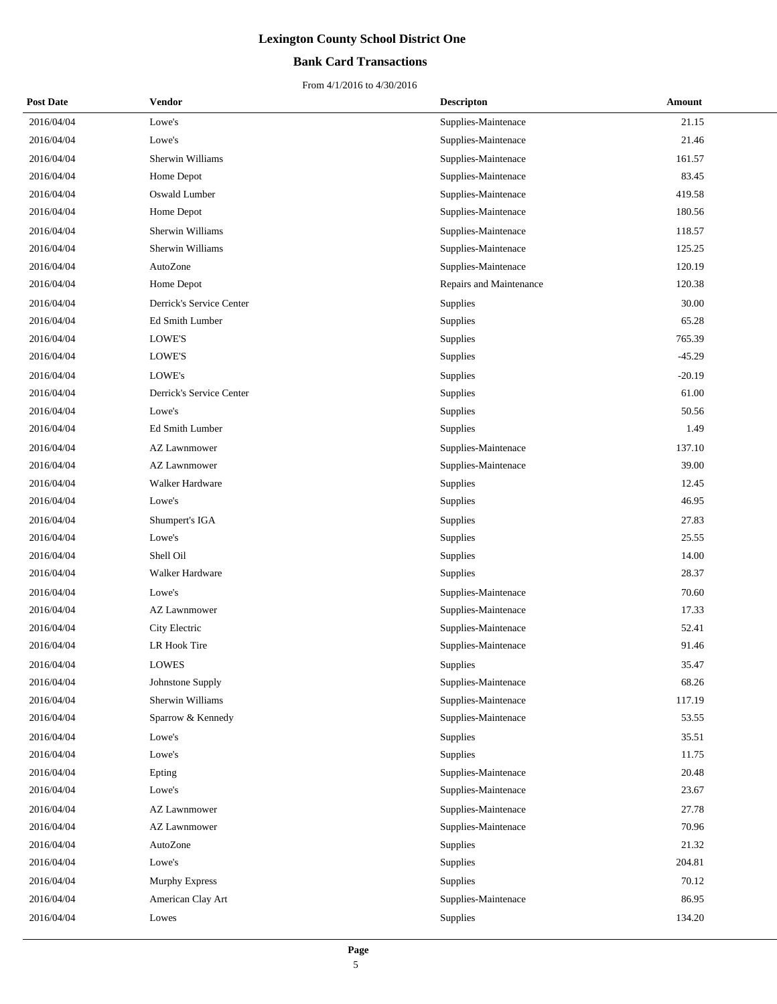## **Bank Card Transactions**

| <b>Post Date</b> | Vendor                   | <b>Descripton</b>       | Amount   |
|------------------|--------------------------|-------------------------|----------|
| 2016/04/04       | Lowe's                   | Supplies-Maintenace     | 21.15    |
| 2016/04/04       | Lowe's                   | Supplies-Maintenace     | 21.46    |
| 2016/04/04       | Sherwin Williams         | Supplies-Maintenace     | 161.57   |
| 2016/04/04       | Home Depot               | Supplies-Maintenace     | 83.45    |
| 2016/04/04       | Oswald Lumber            | Supplies-Maintenace     | 419.58   |
| 2016/04/04       | Home Depot               | Supplies-Maintenace     | 180.56   |
| 2016/04/04       | Sherwin Williams         | Supplies-Maintenace     | 118.57   |
| 2016/04/04       | Sherwin Williams         | Supplies-Maintenace     | 125.25   |
| 2016/04/04       | AutoZone                 | Supplies-Maintenace     | 120.19   |
| 2016/04/04       | Home Depot               | Repairs and Maintenance | 120.38   |
| 2016/04/04       | Derrick's Service Center | Supplies                | 30.00    |
| 2016/04/04       | Ed Smith Lumber          | Supplies                | 65.28    |
| 2016/04/04       | LOWE'S                   | Supplies                | 765.39   |
| 2016/04/04       | LOWE'S                   | Supplies                | $-45.29$ |
| 2016/04/04       | LOWE's                   | Supplies                | $-20.19$ |
| 2016/04/04       | Derrick's Service Center | Supplies                | 61.00    |
| 2016/04/04       | Lowe's                   | Supplies                | 50.56    |
| 2016/04/04       | Ed Smith Lumber          | Supplies                | 1.49     |
| 2016/04/04       | AZ Lawnmower             | Supplies-Maintenace     | 137.10   |
| 2016/04/04       | <b>AZ Lawnmower</b>      | Supplies-Maintenace     | 39.00    |
| 2016/04/04       | Walker Hardware          | Supplies                | 12.45    |
| 2016/04/04       | Lowe's                   | Supplies                | 46.95    |
| 2016/04/04       | Shumpert's IGA           | Supplies                | 27.83    |
| 2016/04/04       | Lowe's                   | Supplies                | 25.55    |
| 2016/04/04       | Shell Oil                | Supplies                | 14.00    |
| 2016/04/04       | Walker Hardware          | Supplies                | 28.37    |
| 2016/04/04       | Lowe's                   | Supplies-Maintenace     | 70.60    |
| 2016/04/04       | <b>AZ Lawnmower</b>      | Supplies-Maintenace     | 17.33    |
| 2016/04/04       | City Electric            | Supplies-Maintenace     | 52.41    |
| 2016/04/04       | LR Hook Tire             | Supplies-Maintenace     | 91.46    |
| 2016/04/04       | <b>LOWES</b>             | <b>Supplies</b>         | 35.47    |
| 2016/04/04       | Johnstone Supply         | Supplies-Maintenace     | 68.26    |
| 2016/04/04       | Sherwin Williams         | Supplies-Maintenace     | 117.19   |
| 2016/04/04       | Sparrow & Kennedy        | Supplies-Maintenace     | 53.55    |
| 2016/04/04       | Lowe's                   | Supplies                | 35.51    |
| 2016/04/04       | Lowe's                   | Supplies                | 11.75    |
| 2016/04/04       | Epting                   | Supplies-Maintenace     | 20.48    |
| 2016/04/04       | Lowe's                   | Supplies-Maintenace     | 23.67    |
| 2016/04/04       | <b>AZ Lawnmower</b>      | Supplies-Maintenace     | 27.78    |
| 2016/04/04       | <b>AZ Lawnmower</b>      | Supplies-Maintenace     | 70.96    |
| 2016/04/04       | AutoZone                 | Supplies                | 21.32    |
| 2016/04/04       | Lowe's                   | Supplies                | 204.81   |
| 2016/04/04       | Murphy Express           | Supplies                | 70.12    |
| 2016/04/04       | American Clay Art        | Supplies-Maintenace     | 86.95    |
| 2016/04/04       | Lowes                    | Supplies                | 134.20   |
|                  |                          |                         |          |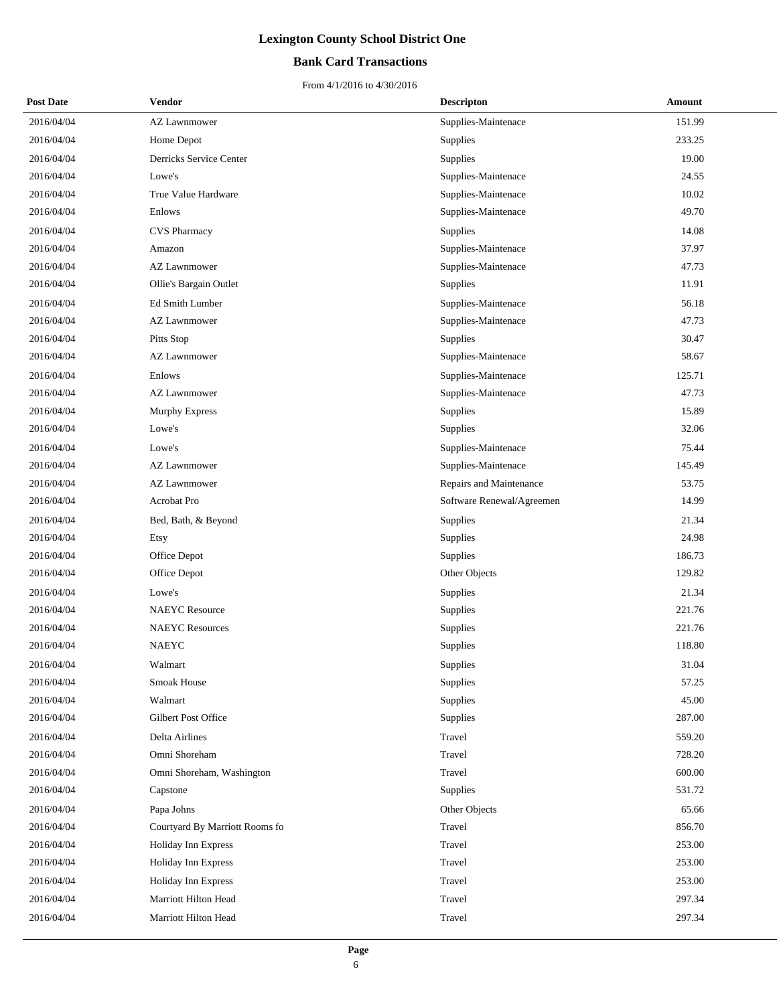## **Bank Card Transactions**

| <b>Post Date</b> | <b>Vendor</b>                  | <b>Descripton</b>         | Amount |
|------------------|--------------------------------|---------------------------|--------|
| 2016/04/04       | <b>AZ Lawnmower</b>            | Supplies-Maintenace       | 151.99 |
| 2016/04/04       | Home Depot                     | Supplies                  | 233.25 |
| 2016/04/04       | Derricks Service Center        | Supplies                  | 19.00  |
| 2016/04/04       | Lowe's                         | Supplies-Maintenace       | 24.55  |
| 2016/04/04       | True Value Hardware            | Supplies-Maintenace       | 10.02  |
| 2016/04/04       | Enlows                         | Supplies-Maintenace       | 49.70  |
| 2016/04/04       | CVS Pharmacy                   | Supplies                  | 14.08  |
| 2016/04/04       | Amazon                         | Supplies-Maintenace       | 37.97  |
| 2016/04/04       | <b>AZ Lawnmower</b>            | Supplies-Maintenace       | 47.73  |
| 2016/04/04       | Ollie's Bargain Outlet         | Supplies                  | 11.91  |
| 2016/04/04       | Ed Smith Lumber                | Supplies-Maintenace       | 56.18  |
| 2016/04/04       | <b>AZ Lawnmower</b>            | Supplies-Maintenace       | 47.73  |
| 2016/04/04       | Pitts Stop                     | Supplies                  | 30.47  |
| 2016/04/04       | <b>AZ Lawnmower</b>            | Supplies-Maintenace       | 58.67  |
| 2016/04/04       | Enlows                         | Supplies-Maintenace       | 125.71 |
| 2016/04/04       | <b>AZ Lawnmower</b>            | Supplies-Maintenace       | 47.73  |
| 2016/04/04       | <b>Murphy Express</b>          | Supplies                  | 15.89  |
| 2016/04/04       | Lowe's                         | Supplies                  | 32.06  |
| 2016/04/04       | Lowe's                         | Supplies-Maintenace       | 75.44  |
| 2016/04/04       | <b>AZ Lawnmower</b>            | Supplies-Maintenace       | 145.49 |
| 2016/04/04       | <b>AZ Lawnmower</b>            | Repairs and Maintenance   | 53.75  |
| 2016/04/04       | Acrobat Pro                    | Software Renewal/Agreemen | 14.99  |
| 2016/04/04       | Bed, Bath, & Beyond            | Supplies                  | 21.34  |
| 2016/04/04       | Etsy                           | Supplies                  | 24.98  |
| 2016/04/04       | Office Depot                   | Supplies                  | 186.73 |
| 2016/04/04       | Office Depot                   | Other Objects             | 129.82 |
| 2016/04/04       | Lowe's                         | Supplies                  | 21.34  |
| 2016/04/04       | <b>NAEYC</b> Resource          | Supplies                  | 221.76 |
| 2016/04/04       | <b>NAEYC</b> Resources         | Supplies                  | 221.76 |
| 2016/04/04       | <b>NAEYC</b>                   | Supplies                  | 118.80 |
| 2016/04/04       | Walmart                        | Supplies                  | 31.04  |
| 2016/04/04       | Smoak House                    | Supplies                  | 57.25  |
| 2016/04/04       | Walmart                        | Supplies                  | 45.00  |
| 2016/04/04       | Gilbert Post Office            | Supplies                  | 287.00 |
| 2016/04/04       | Delta Airlines                 | Travel                    | 559.20 |
| 2016/04/04       | Omni Shoreham                  | Travel                    | 728.20 |
| 2016/04/04       | Omni Shoreham, Washington      | Travel                    | 600.00 |
| 2016/04/04       | Capstone                       | Supplies                  | 531.72 |
| 2016/04/04       | Papa Johns                     | Other Objects             | 65.66  |
| 2016/04/04       | Courtyard By Marriott Rooms fo | Travel                    | 856.70 |
| 2016/04/04       | Holiday Inn Express            | Travel                    | 253.00 |
| 2016/04/04       | Holiday Inn Express            | Travel                    | 253.00 |
| 2016/04/04       | Holiday Inn Express            | Travel                    | 253.00 |
| 2016/04/04       | Marriott Hilton Head           | Travel                    | 297.34 |
| 2016/04/04       | Marriott Hilton Head           | Travel                    | 297.34 |
|                  |                                |                           |        |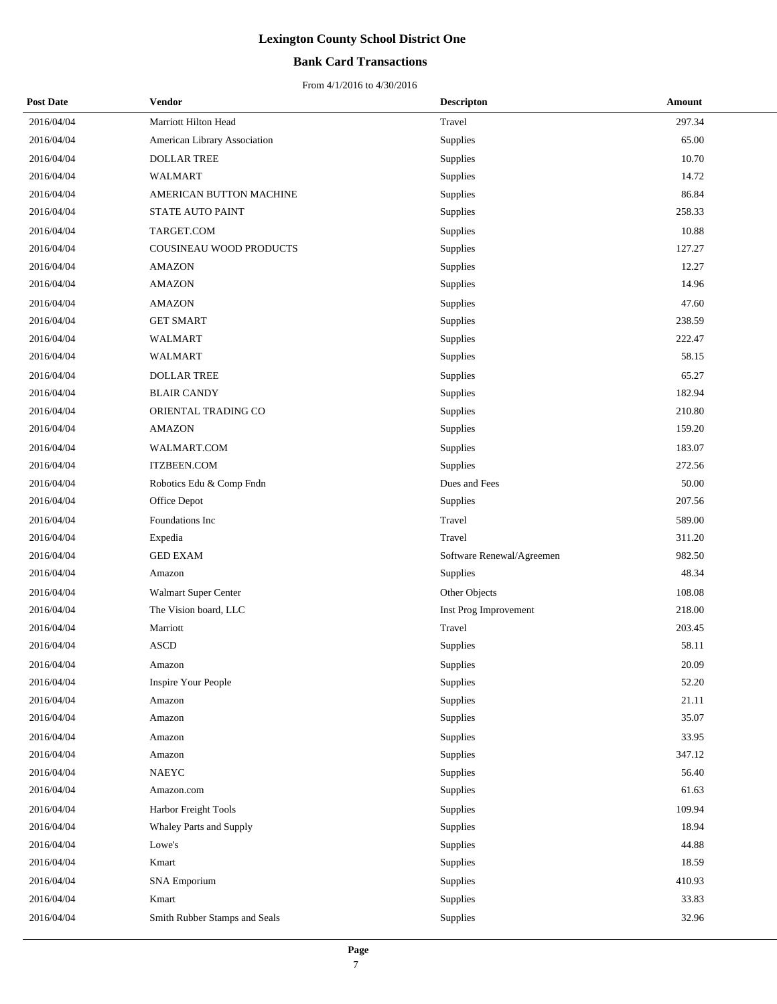## **Bank Card Transactions**

| <b>Post Date</b> | Vendor                        | <b>Descripton</b>         | Amount |
|------------------|-------------------------------|---------------------------|--------|
| 2016/04/04       | Marriott Hilton Head          | Travel                    | 297.34 |
| 2016/04/04       | American Library Association  | Supplies                  | 65.00  |
| 2016/04/04       | <b>DOLLAR TREE</b>            | Supplies                  | 10.70  |
| 2016/04/04       | <b>WALMART</b>                | Supplies                  | 14.72  |
| 2016/04/04       | AMERICAN BUTTON MACHINE       | Supplies                  | 86.84  |
| 2016/04/04       | STATE AUTO PAINT              | Supplies                  | 258.33 |
| 2016/04/04       | TARGET.COM                    | Supplies                  | 10.88  |
| 2016/04/04       | COUSINEAU WOOD PRODUCTS       | Supplies                  | 127.27 |
| 2016/04/04       | AMAZON                        | Supplies                  | 12.27  |
| 2016/04/04       | <b>AMAZON</b>                 | Supplies                  | 14.96  |
| 2016/04/04       | <b>AMAZON</b>                 | Supplies                  | 47.60  |
| 2016/04/04       | <b>GET SMART</b>              | Supplies                  | 238.59 |
| 2016/04/04       | <b>WALMART</b>                | Supplies                  | 222.47 |
| 2016/04/04       | WALMART                       | Supplies                  | 58.15  |
| 2016/04/04       | <b>DOLLAR TREE</b>            | Supplies                  | 65.27  |
| 2016/04/04       | <b>BLAIR CANDY</b>            | Supplies                  | 182.94 |
| 2016/04/04       | ORIENTAL TRADING CO           | Supplies                  | 210.80 |
| 2016/04/04       | <b>AMAZON</b>                 | Supplies                  | 159.20 |
| 2016/04/04       | WALMART.COM                   | Supplies                  | 183.07 |
| 2016/04/04       | <b>ITZBEEN.COM</b>            | Supplies                  | 272.56 |
| 2016/04/04       | Robotics Edu & Comp Fndn      | Dues and Fees             | 50.00  |
| 2016/04/04       | Office Depot                  | Supplies                  | 207.56 |
| 2016/04/04       | Foundations Inc               | Travel                    | 589.00 |
| 2016/04/04       | Expedia                       | Travel                    | 311.20 |
| 2016/04/04       | <b>GED EXAM</b>               | Software Renewal/Agreemen | 982.50 |
| 2016/04/04       | Amazon                        | Supplies                  | 48.34  |
| 2016/04/04       | Walmart Super Center          | Other Objects             | 108.08 |
| 2016/04/04       | The Vision board, LLC         | Inst Prog Improvement     | 218.00 |
| 2016/04/04       | Marriott                      | Travel                    | 203.45 |
| 2016/04/04       | <b>ASCD</b>                   | Supplies                  | 58.11  |
| 2016/04/04       | Amazon                        | Supplies                  | 20.09  |
| 2016/04/04       | <b>Inspire Your People</b>    | Supplies                  | 52.20  |
| 2016/04/04       | Amazon                        | Supplies                  | 21.11  |
| 2016/04/04       | Amazon                        | Supplies                  | 35.07  |
| 2016/04/04       | Amazon                        | Supplies                  | 33.95  |
| 2016/04/04       | Amazon                        | Supplies                  | 347.12 |
| 2016/04/04       | <b>NAEYC</b>                  | Supplies                  | 56.40  |
| 2016/04/04       | Amazon.com                    | Supplies                  | 61.63  |
| 2016/04/04       | Harbor Freight Tools          | Supplies                  | 109.94 |
| 2016/04/04       | Whaley Parts and Supply       | Supplies                  | 18.94  |
| 2016/04/04       | Lowe's                        | Supplies                  | 44.88  |
| 2016/04/04       | Kmart                         | Supplies                  | 18.59  |
| 2016/04/04       | <b>SNA</b> Emporium           | Supplies                  | 410.93 |
| 2016/04/04       | Kmart                         | Supplies                  | 33.83  |
| 2016/04/04       | Smith Rubber Stamps and Seals | Supplies                  | 32.96  |
|                  |                               |                           |        |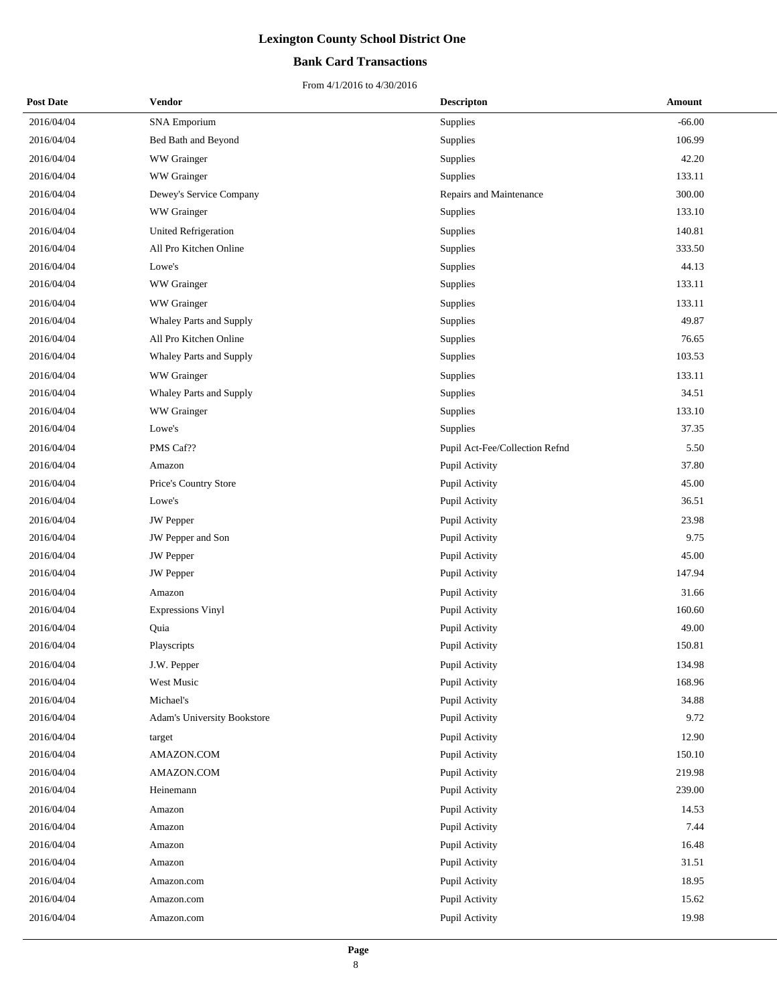## **Bank Card Transactions**

| <b>Post Date</b> | Vendor                             | <b>Descripton</b>              | <b>Amount</b> |
|------------------|------------------------------------|--------------------------------|---------------|
| 2016/04/04       | <b>SNA Emporium</b>                | Supplies                       | $-66.00$      |
| 2016/04/04       | Bed Bath and Beyond                | Supplies                       | 106.99        |
| 2016/04/04       | WW Grainger                        | Supplies                       | 42.20         |
| 2016/04/04       | WW Grainger                        | Supplies                       | 133.11        |
| 2016/04/04       | Dewey's Service Company            | Repairs and Maintenance        | 300.00        |
| 2016/04/04       | WW Grainger                        | Supplies                       | 133.10        |
| 2016/04/04       | <b>United Refrigeration</b>        | Supplies                       | 140.81        |
| 2016/04/04       | All Pro Kitchen Online             | Supplies                       | 333.50        |
| 2016/04/04       | Lowe's                             | Supplies                       | 44.13         |
| 2016/04/04       | WW Grainger                        | Supplies                       | 133.11        |
| 2016/04/04       | WW Grainger                        | Supplies                       | 133.11        |
| 2016/04/04       | Whaley Parts and Supply            | Supplies                       | 49.87         |
| 2016/04/04       | All Pro Kitchen Online             | Supplies                       | 76.65         |
| 2016/04/04       | Whaley Parts and Supply            | Supplies                       | 103.53        |
| 2016/04/04       | WW Grainger                        | Supplies                       | 133.11        |
| 2016/04/04       | Whaley Parts and Supply            | Supplies                       | 34.51         |
| 2016/04/04       | WW Grainger                        | Supplies                       | 133.10        |
| 2016/04/04       | Lowe's                             | Supplies                       | 37.35         |
| 2016/04/04       | PMS Caf??                          | Pupil Act-Fee/Collection Refnd | 5.50          |
| 2016/04/04       | Amazon                             | Pupil Activity                 | 37.80         |
| 2016/04/04       | Price's Country Store              | Pupil Activity                 | 45.00         |
| 2016/04/04       | Lowe's                             | Pupil Activity                 | 36.51         |
| 2016/04/04       | <b>JW</b> Pepper                   | Pupil Activity                 | 23.98         |
| 2016/04/04       | JW Pepper and Son                  | Pupil Activity                 | 9.75          |
| 2016/04/04       | <b>JW</b> Pepper                   | Pupil Activity                 | 45.00         |
| 2016/04/04       | JW Pepper                          | Pupil Activity                 | 147.94        |
| 2016/04/04       | Amazon                             | Pupil Activity                 | 31.66         |
| 2016/04/04       | <b>Expressions Vinyl</b>           | Pupil Activity                 | 160.60        |
| 2016/04/04       | Quia                               | Pupil Activity                 | 49.00         |
| 2016/04/04       | Playscripts                        | Pupil Activity                 | 150.81        |
| 2016/04/04       | J.W. Pepper                        | Pupil Activity                 | 134.98        |
| 2016/04/04       | West Music                         | Pupil Activity                 | 168.96        |
| 2016/04/04       | Michael's                          | Pupil Activity                 | 34.88         |
| 2016/04/04       | <b>Adam's University Bookstore</b> | Pupil Activity                 | 9.72          |
| 2016/04/04       | target                             | Pupil Activity                 | 12.90         |
| 2016/04/04       | AMAZON.COM                         | Pupil Activity                 | 150.10        |
| 2016/04/04       | AMAZON.COM                         | Pupil Activity                 | 219.98        |
| 2016/04/04       | Heinemann                          | Pupil Activity                 | 239.00        |
| 2016/04/04       | Amazon                             | Pupil Activity                 | 14.53         |
| 2016/04/04       | Amazon                             | Pupil Activity                 | 7.44          |
| 2016/04/04       | Amazon                             | Pupil Activity                 | 16.48         |
| 2016/04/04       | Amazon                             | Pupil Activity                 | 31.51         |
| 2016/04/04       | Amazon.com                         | Pupil Activity                 | 18.95         |
| 2016/04/04       | Amazon.com                         | Pupil Activity                 | 15.62         |
| 2016/04/04       | Amazon.com                         | Pupil Activity                 | 19.98         |
|                  |                                    |                                |               |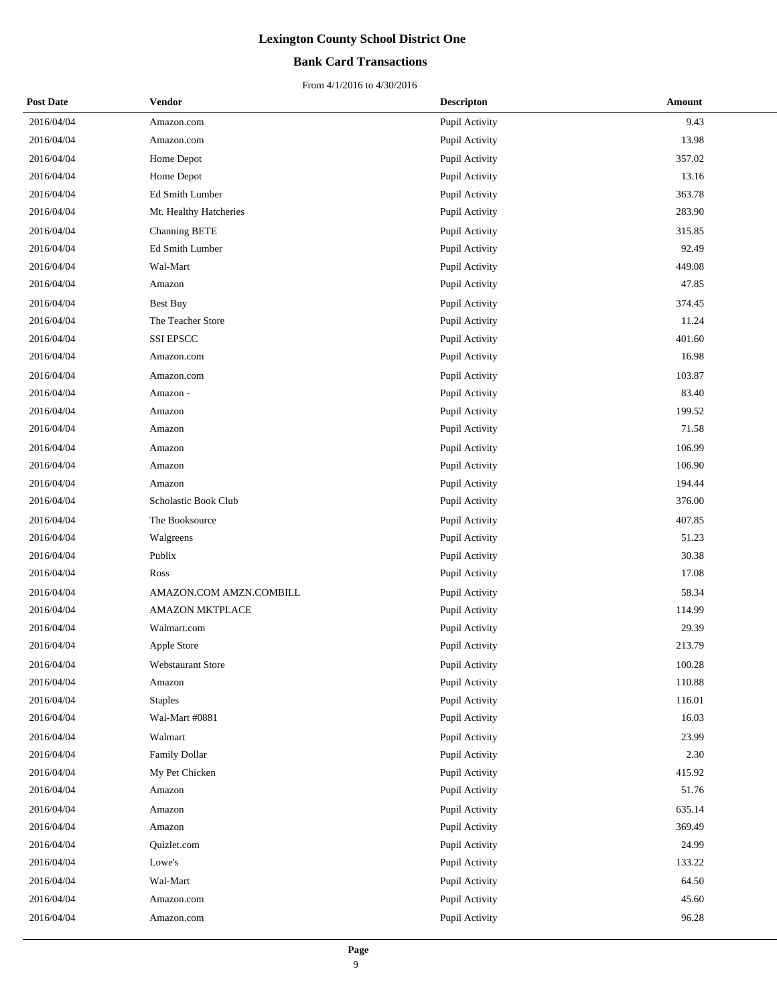## **Bank Card Transactions**

| <b>Post Date</b> | Vendor                   | <b>Descripton</b> | Amount |
|------------------|--------------------------|-------------------|--------|
| 2016/04/04       | Amazon.com               | Pupil Activity    | 9.43   |
| 2016/04/04       | Amazon.com               | Pupil Activity    | 13.98  |
| 2016/04/04       | Home Depot               | Pupil Activity    | 357.02 |
| 2016/04/04       | Home Depot               | Pupil Activity    | 13.16  |
| 2016/04/04       | Ed Smith Lumber          | Pupil Activity    | 363.78 |
| 2016/04/04       | Mt. Healthy Hatcheries   | Pupil Activity    | 283.90 |
| 2016/04/04       | Channing BETE            | Pupil Activity    | 315.85 |
| 2016/04/04       | Ed Smith Lumber          | Pupil Activity    | 92.49  |
| 2016/04/04       | Wal-Mart                 | Pupil Activity    | 449.08 |
| 2016/04/04       | Amazon                   | Pupil Activity    | 47.85  |
| 2016/04/04       | <b>Best Buy</b>          | Pupil Activity    | 374.45 |
| 2016/04/04       | The Teacher Store        | Pupil Activity    | 11.24  |
| 2016/04/04       | <b>SSI EPSCC</b>         | Pupil Activity    | 401.60 |
| 2016/04/04       | Amazon.com               | Pupil Activity    | 16.98  |
| 2016/04/04       | Amazon.com               | Pupil Activity    | 103.87 |
| 2016/04/04       | Amazon -                 | Pupil Activity    | 83.40  |
| 2016/04/04       | Amazon                   | Pupil Activity    | 199.52 |
| 2016/04/04       | Amazon                   | Pupil Activity    | 71.58  |
| 2016/04/04       | Amazon                   | Pupil Activity    | 106.99 |
| 2016/04/04       | Amazon                   | Pupil Activity    | 106.90 |
| 2016/04/04       | Amazon                   | Pupil Activity    | 194.44 |
| 2016/04/04       | Scholastic Book Club     | Pupil Activity    | 376.00 |
| 2016/04/04       | The Booksource           | Pupil Activity    | 407.85 |
| 2016/04/04       | Walgreens                | Pupil Activity    | 51.23  |
| 2016/04/04       | Publix                   | Pupil Activity    | 30.38  |
| 2016/04/04       | Ross                     | Pupil Activity    | 17.08  |
| 2016/04/04       | AMAZON.COM AMZN.COMBILL  | Pupil Activity    | 58.34  |
| 2016/04/04       | <b>AMAZON MKTPLACE</b>   | Pupil Activity    | 114.99 |
| 2016/04/04       | Walmart.com              | Pupil Activity    | 29.39  |
| 2016/04/04       | Apple Store              | Pupil Activity    | 213.79 |
| 2016/04/04       | <b>Webstaurant Store</b> | Pupil Activity    | 100.28 |
| 2016/04/04       | Amazon                   | Pupil Activity    | 110.88 |
| 2016/04/04       | <b>Staples</b>           | Pupil Activity    | 116.01 |
| 2016/04/04       | Wal-Mart #0881           | Pupil Activity    | 16.03  |
| 2016/04/04       | Walmart                  | Pupil Activity    | 23.99  |
| 2016/04/04       | Family Dollar            | Pupil Activity    | 2.30   |
| 2016/04/04       | My Pet Chicken           | Pupil Activity    | 415.92 |
| 2016/04/04       | Amazon                   | Pupil Activity    | 51.76  |
| 2016/04/04       | Amazon                   | Pupil Activity    | 635.14 |
| 2016/04/04       | Amazon                   | Pupil Activity    | 369.49 |
| 2016/04/04       | Quizlet.com              | Pupil Activity    | 24.99  |
| 2016/04/04       | Lowe's                   | Pupil Activity    | 133.22 |
| 2016/04/04       | Wal-Mart                 | Pupil Activity    | 64.50  |
| 2016/04/04       | Amazon.com               | Pupil Activity    | 45.60  |
| 2016/04/04       | Amazon.com               | Pupil Activity    | 96.28  |
|                  |                          |                   |        |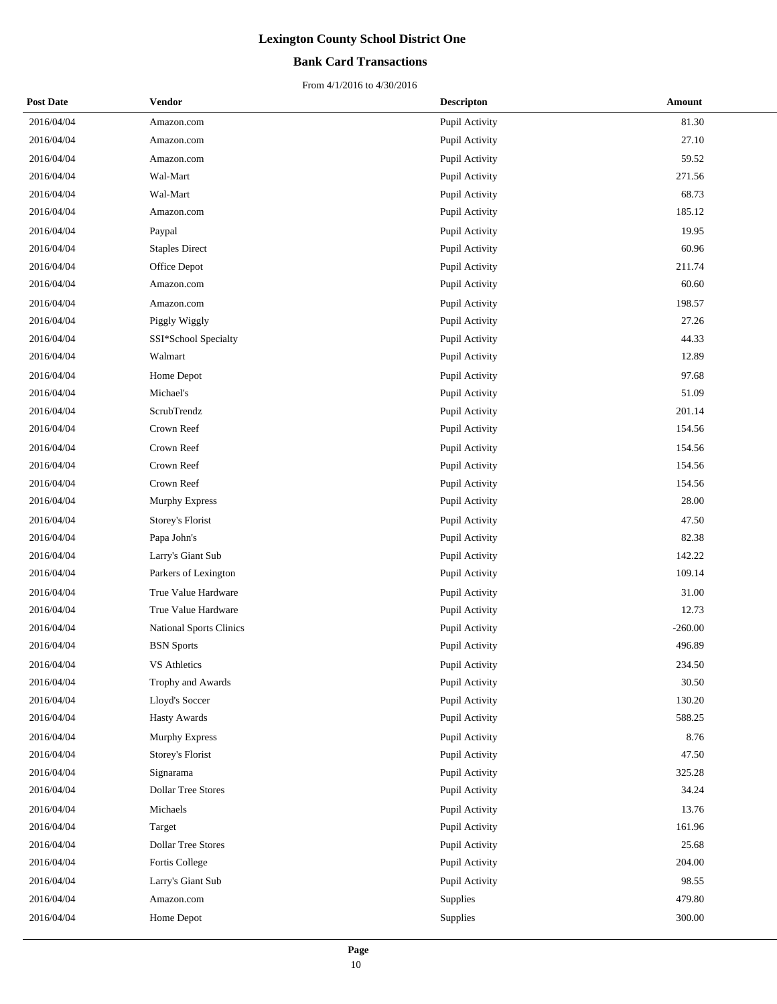## **Bank Card Transactions**

| <b>Post Date</b> | Vendor                    | <b>Descripton</b> | Amount    |
|------------------|---------------------------|-------------------|-----------|
| 2016/04/04       | Amazon.com                | Pupil Activity    | 81.30     |
| 2016/04/04       | Amazon.com                | Pupil Activity    | 27.10     |
| 2016/04/04       | Amazon.com                | Pupil Activity    | 59.52     |
| 2016/04/04       | Wal-Mart                  | Pupil Activity    | 271.56    |
| 2016/04/04       | Wal-Mart                  | Pupil Activity    | 68.73     |
| 2016/04/04       | Amazon.com                | Pupil Activity    | 185.12    |
| 2016/04/04       | Paypal                    | Pupil Activity    | 19.95     |
| 2016/04/04       | <b>Staples Direct</b>     | Pupil Activity    | 60.96     |
| 2016/04/04       | Office Depot              | Pupil Activity    | 211.74    |
| 2016/04/04       | Amazon.com                | Pupil Activity    | 60.60     |
| 2016/04/04       | Amazon.com                | Pupil Activity    | 198.57    |
| 2016/04/04       | Piggly Wiggly             | Pupil Activity    | 27.26     |
| 2016/04/04       | SSI*School Specialty      | Pupil Activity    | 44.33     |
| 2016/04/04       | Walmart                   | Pupil Activity    | 12.89     |
| 2016/04/04       | Home Depot                | Pupil Activity    | 97.68     |
| 2016/04/04       | Michael's                 | Pupil Activity    | 51.09     |
| 2016/04/04       | ScrubTrendz               | Pupil Activity    | 201.14    |
| 2016/04/04       | Crown Reef                | Pupil Activity    | 154.56    |
| 2016/04/04       | Crown Reef                | Pupil Activity    | 154.56    |
| 2016/04/04       | Crown Reef                | Pupil Activity    | 154.56    |
| 2016/04/04       | Crown Reef                | Pupil Activity    | 154.56    |
| 2016/04/04       | Murphy Express            | Pupil Activity    | 28.00     |
| 2016/04/04       | Storey's Florist          | Pupil Activity    | 47.50     |
| 2016/04/04       | Papa John's               | Pupil Activity    | 82.38     |
| 2016/04/04       | Larry's Giant Sub         | Pupil Activity    | 142.22    |
| 2016/04/04       | Parkers of Lexington      | Pupil Activity    | 109.14    |
| 2016/04/04       | True Value Hardware       | Pupil Activity    | 31.00     |
| 2016/04/04       | True Value Hardware       | Pupil Activity    | 12.73     |
| 2016/04/04       | National Sports Clinics   | Pupil Activity    | $-260.00$ |
| 2016/04/04       | <b>BSN</b> Sports         | Pupil Activity    | 496.89    |
| 2016/04/04       | VS Athletics              | Pupil Activity    | 234.50    |
| 2016/04/04       | Trophy and Awards         | Pupil Activity    | 30.50     |
| 2016/04/04       | Lloyd's Soccer            | Pupil Activity    | 130.20    |
| 2016/04/04       | Hasty Awards              | Pupil Activity    | 588.25    |
| 2016/04/04       | <b>Murphy Express</b>     | Pupil Activity    | 8.76      |
| 2016/04/04       | Storey's Florist          | Pupil Activity    | 47.50     |
| 2016/04/04       | Signarama                 | Pupil Activity    | 325.28    |
| 2016/04/04       | <b>Dollar Tree Stores</b> | Pupil Activity    | 34.24     |
| 2016/04/04       | Michaels                  | Pupil Activity    | 13.76     |
| 2016/04/04       | Target                    | Pupil Activity    | 161.96    |
| 2016/04/04       | <b>Dollar Tree Stores</b> | Pupil Activity    | 25.68     |
| 2016/04/04       | Fortis College            | Pupil Activity    | 204.00    |
| 2016/04/04       | Larry's Giant Sub         | Pupil Activity    | 98.55     |
| 2016/04/04       | Amazon.com                | Supplies          | 479.80    |
| 2016/04/04       | Home Depot                | Supplies          | 300.00    |
|                  |                           |                   |           |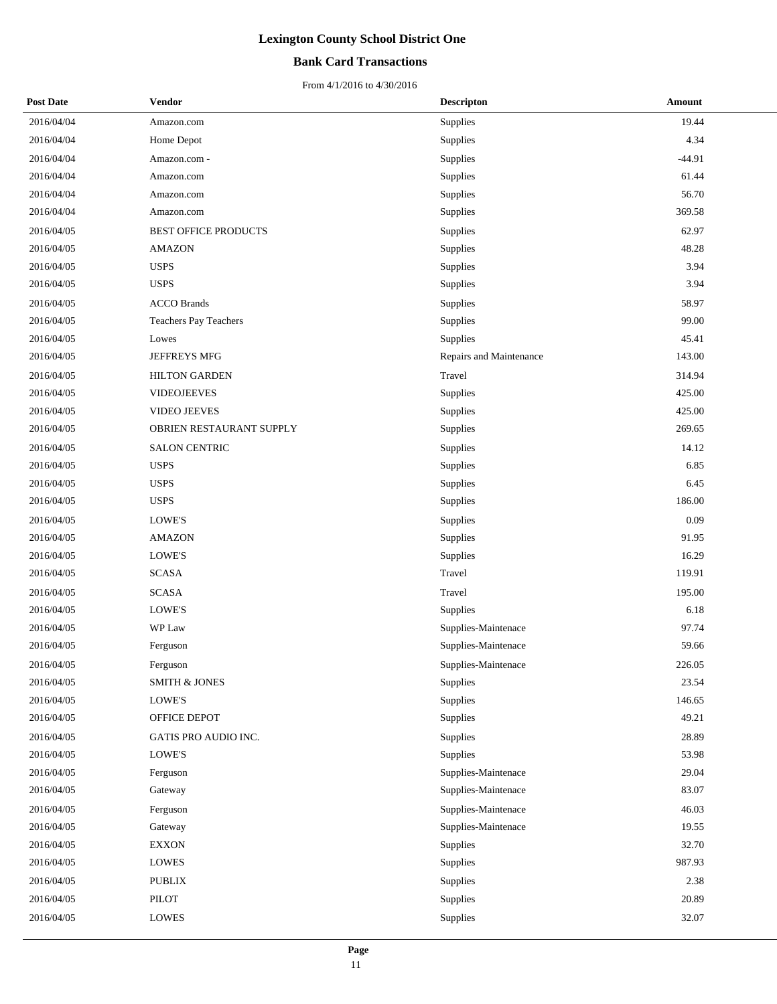### **Bank Card Transactions**

| <b>Post Date</b> | Vendor                       | <b>Descripton</b>       | Amount   |
|------------------|------------------------------|-------------------------|----------|
| 2016/04/04       | Amazon.com                   | Supplies                | 19.44    |
| 2016/04/04       | Home Depot                   | Supplies                | 4.34     |
| 2016/04/04       | Amazon.com -                 | Supplies                | $-44.91$ |
| 2016/04/04       | Amazon.com                   | Supplies                | 61.44    |
| 2016/04/04       | Amazon.com                   | Supplies                | 56.70    |
| 2016/04/04       | Amazon.com                   | Supplies                | 369.58   |
| 2016/04/05       | <b>BEST OFFICE PRODUCTS</b>  | Supplies                | 62.97    |
| 2016/04/05       | <b>AMAZON</b>                | <b>Supplies</b>         | 48.28    |
| 2016/04/05       | <b>USPS</b>                  | Supplies                | 3.94     |
| 2016/04/05       | <b>USPS</b>                  | Supplies                | 3.94     |
| 2016/04/05       | <b>ACCO Brands</b>           | Supplies                | 58.97    |
| 2016/04/05       | <b>Teachers Pay Teachers</b> | Supplies                | 99.00    |
| 2016/04/05       | Lowes                        | Supplies                | 45.41    |
| 2016/04/05       | JEFFREYS MFG                 | Repairs and Maintenance | 143.00   |
| 2016/04/05       | <b>HILTON GARDEN</b>         | Travel                  | 314.94   |
| 2016/04/05       | <b>VIDEOJEEVES</b>           | Supplies                | 425.00   |
| 2016/04/05       | <b>VIDEO JEEVES</b>          | Supplies                | 425.00   |
| 2016/04/05       | OBRIEN RESTAURANT SUPPLY     | Supplies                | 269.65   |
| 2016/04/05       | <b>SALON CENTRIC</b>         | Supplies                | 14.12    |
| 2016/04/05       | <b>USPS</b>                  | Supplies                | 6.85     |
| 2016/04/05       | <b>USPS</b>                  | Supplies                | 6.45     |
| 2016/04/05       | <b>USPS</b>                  | Supplies                | 186.00   |
| 2016/04/05       | LOWE'S                       | Supplies                | 0.09     |
| 2016/04/05       | <b>AMAZON</b>                | Supplies                | 91.95    |
| 2016/04/05       | LOWE'S                       | Supplies                | 16.29    |
| 2016/04/05       | <b>SCASA</b>                 | Travel                  | 119.91   |
| 2016/04/05       | <b>SCASA</b>                 | Travel                  | 195.00   |
| 2016/04/05       | LOWE'S                       | <b>Supplies</b>         | 6.18     |
| 2016/04/05       | WP Law                       | Supplies-Maintenace     | 97.74    |
| 2016/04/05       | Ferguson                     | Supplies-Maintenace     | 59.66    |
| 2016/04/05       | Ferguson                     | Supplies-Maintenace     | 226.05   |
| 2016/04/05       | <b>SMITH &amp; JONES</b>     | <b>Supplies</b>         | 23.54    |
| 2016/04/05       | LOWE'S                       | Supplies                | 146.65   |
| 2016/04/05       | OFFICE DEPOT                 | Supplies                | 49.21    |
| 2016/04/05       | GATIS PRO AUDIO INC.         | Supplies                | 28.89    |
| 2016/04/05       | LOWE'S                       | Supplies                | 53.98    |
| 2016/04/05       | Ferguson                     | Supplies-Maintenace     | 29.04    |
| 2016/04/05       | Gateway                      | Supplies-Maintenace     | 83.07    |
| 2016/04/05       | Ferguson                     | Supplies-Maintenace     | 46.03    |
| 2016/04/05       | Gateway                      | Supplies-Maintenace     | 19.55    |
| 2016/04/05       | <b>EXXON</b>                 | Supplies                | 32.70    |
| 2016/04/05       | LOWES                        | Supplies                | 987.93   |
| 2016/04/05       | <b>PUBLIX</b>                | Supplies                | 2.38     |
| 2016/04/05       | PILOT                        | Supplies                | 20.89    |
| 2016/04/05       | LOWES                        | Supplies                | 32.07    |
|                  |                              |                         |          |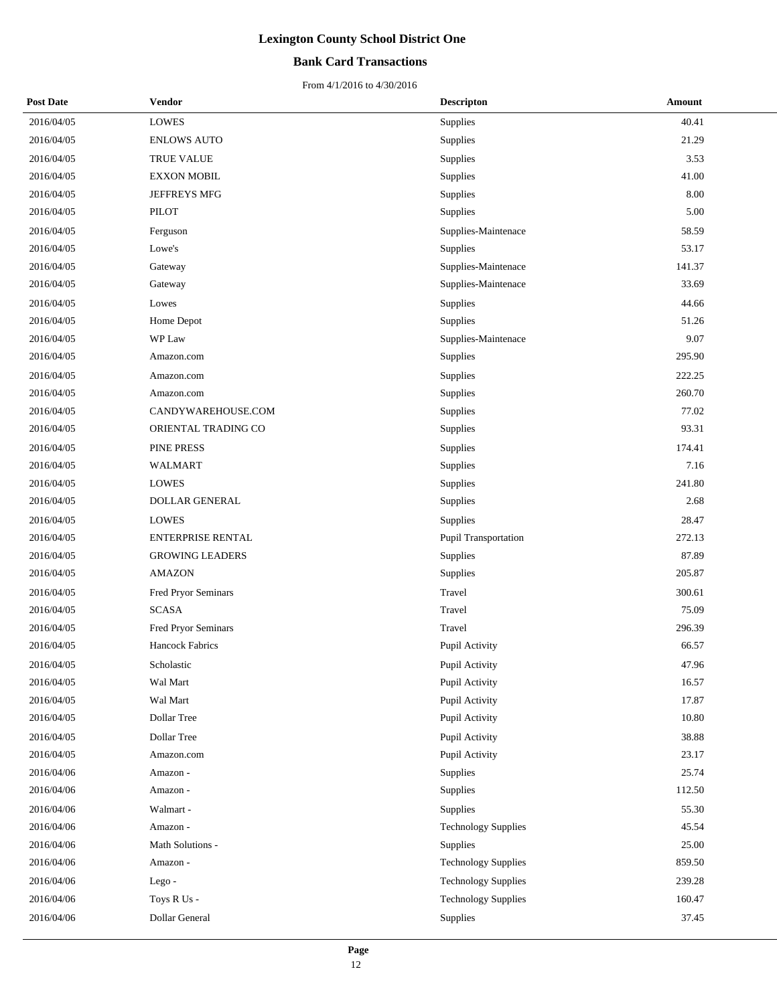### **Bank Card Transactions**

| <b>Post Date</b> | Vendor                 | <b>Descripton</b>          | Amount |
|------------------|------------------------|----------------------------|--------|
| 2016/04/05       | <b>LOWES</b>           | Supplies                   | 40.41  |
| 2016/04/05       | <b>ENLOWS AUTO</b>     | Supplies                   | 21.29  |
| 2016/04/05       | <b>TRUE VALUE</b>      | Supplies                   | 3.53   |
| 2016/04/05       | <b>EXXON MOBIL</b>     | Supplies                   | 41.00  |
| 2016/04/05       | JEFFREYS MFG           | Supplies                   | 8.00   |
| 2016/04/05       | PILOT                  | Supplies                   | 5.00   |
| 2016/04/05       | Ferguson               | Supplies-Maintenace        | 58.59  |
| 2016/04/05       | Lowe's                 | Supplies                   | 53.17  |
| 2016/04/05       | Gateway                | Supplies-Maintenace        | 141.37 |
| 2016/04/05       | Gateway                | Supplies-Maintenace        | 33.69  |
| 2016/04/05       | Lowes                  | Supplies                   | 44.66  |
| 2016/04/05       | Home Depot             | Supplies                   | 51.26  |
| 2016/04/05       | WP Law                 | Supplies-Maintenace        | 9.07   |
| 2016/04/05       | Amazon.com             | Supplies                   | 295.90 |
| 2016/04/05       | Amazon.com             | Supplies                   | 222.25 |
| 2016/04/05       | Amazon.com             | Supplies                   | 260.70 |
| 2016/04/05       | CANDYWAREHOUSE.COM     | Supplies                   | 77.02  |
| 2016/04/05       | ORIENTAL TRADING CO    | Supplies                   | 93.31  |
| 2016/04/05       | PINE PRESS             | Supplies                   | 174.41 |
| 2016/04/05       | <b>WALMART</b>         | Supplies                   | 7.16   |
| 2016/04/05       | <b>LOWES</b>           | Supplies                   | 241.80 |
| 2016/04/05       | <b>DOLLAR GENERAL</b>  | Supplies                   | 2.68   |
| 2016/04/05       | <b>LOWES</b>           | Supplies                   | 28.47  |
| 2016/04/05       | ENTERPRISE RENTAL      | Pupil Transportation       | 272.13 |
| 2016/04/05       | <b>GROWING LEADERS</b> | Supplies                   | 87.89  |
| 2016/04/05       | <b>AMAZON</b>          | Supplies                   | 205.87 |
| 2016/04/05       | Fred Pryor Seminars    | Travel                     | 300.61 |
| 2016/04/05       | <b>SCASA</b>           | Travel                     | 75.09  |
| 2016/04/05       | Fred Pryor Seminars    | Travel                     | 296.39 |
| 2016/04/05       | Hancock Fabrics        | Pupil Activity             | 66.57  |
| 2016/04/05       | Scholastic             | Pupil Activity             | 47.96  |
| 2016/04/05       | Wal Mart               | Pupil Activity             | 16.57  |
| 2016/04/05       | Wal Mart               | Pupil Activity             | 17.87  |
| 2016/04/05       | Dollar Tree            | Pupil Activity             | 10.80  |
| 2016/04/05       | Dollar Tree            | Pupil Activity             | 38.88  |
| 2016/04/05       | Amazon.com             | Pupil Activity             | 23.17  |
| 2016/04/06       | Amazon -               | Supplies                   | 25.74  |
| 2016/04/06       | Amazon -               | Supplies                   | 112.50 |
| 2016/04/06       | Walmart -              | Supplies                   | 55.30  |
| 2016/04/06       | Amazon -               | <b>Technology Supplies</b> | 45.54  |
| 2016/04/06       | Math Solutions -       | Supplies                   | 25.00  |
| 2016/04/06       | Amazon -               | <b>Technology Supplies</b> | 859.50 |
| 2016/04/06       | Lego-                  | <b>Technology Supplies</b> | 239.28 |
| 2016/04/06       | Toys R Us -            | <b>Technology Supplies</b> | 160.47 |
| 2016/04/06       | Dollar General         | Supplies                   | 37.45  |
|                  |                        |                            |        |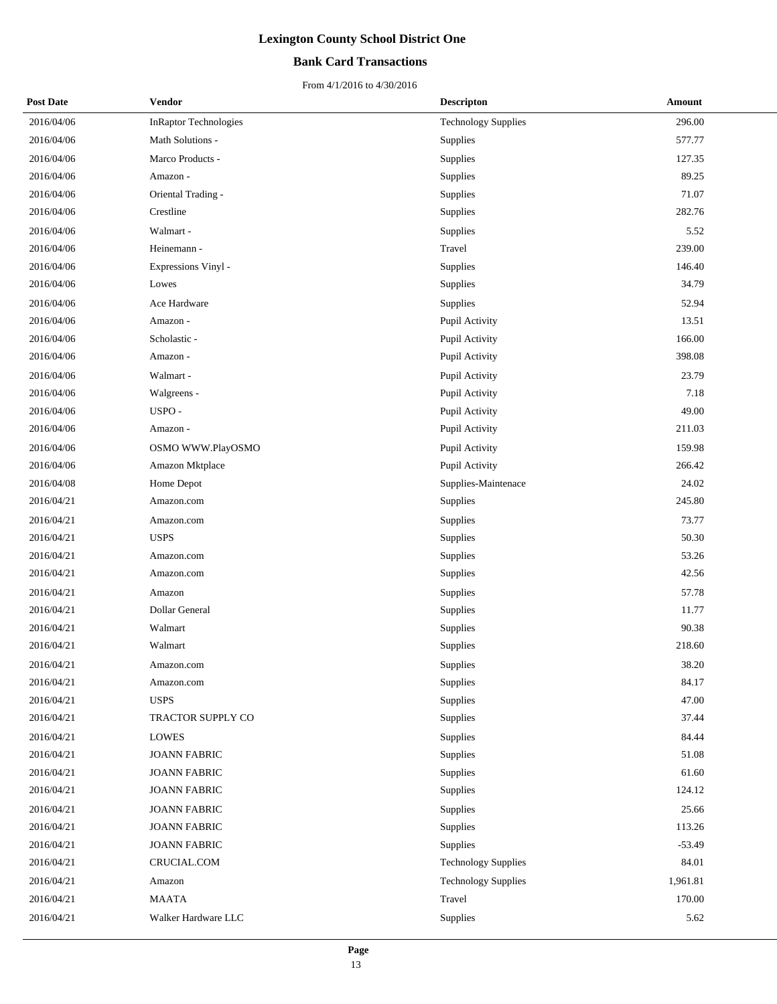## **Bank Card Transactions**

| <b>Post Date</b> | Vendor                       | <b>Descripton</b>          | Amount   |
|------------------|------------------------------|----------------------------|----------|
| 2016/04/06       | <b>InRaptor Technologies</b> | <b>Technology Supplies</b> | 296.00   |
| 2016/04/06       | Math Solutions -             | Supplies                   | 577.77   |
| 2016/04/06       | Marco Products -             | Supplies                   | 127.35   |
| 2016/04/06       | Amazon -                     | Supplies                   | 89.25    |
| 2016/04/06       | Oriental Trading -           | Supplies                   | 71.07    |
| 2016/04/06       | Crestline                    | Supplies                   | 282.76   |
| 2016/04/06       | Walmart -                    | Supplies                   | 5.52     |
| 2016/04/06       | Heinemann -                  | Travel                     | 239.00   |
| 2016/04/06       | Expressions Vinyl -          | Supplies                   | 146.40   |
| 2016/04/06       | Lowes                        | Supplies                   | 34.79    |
| 2016/04/06       | Ace Hardware                 | Supplies                   | 52.94    |
| 2016/04/06       | Amazon -                     | Pupil Activity             | 13.51    |
| 2016/04/06       | Scholastic -                 | Pupil Activity             | 166.00   |
| 2016/04/06       | Amazon -                     | Pupil Activity             | 398.08   |
| 2016/04/06       | Walmart -                    | Pupil Activity             | 23.79    |
| 2016/04/06       | Walgreens -                  | Pupil Activity             | 7.18     |
| 2016/04/06       | USPO-                        | Pupil Activity             | 49.00    |
| 2016/04/06       | Amazon -                     | Pupil Activity             | 211.03   |
| 2016/04/06       | OSMO WWW.PlayOSMO            | Pupil Activity             | 159.98   |
| 2016/04/06       | Amazon Mktplace              | Pupil Activity             | 266.42   |
| 2016/04/08       | Home Depot                   | Supplies-Maintenace        | 24.02    |
| 2016/04/21       | Amazon.com                   | Supplies                   | 245.80   |
| 2016/04/21       | Amazon.com                   | Supplies                   | 73.77    |
| 2016/04/21       | <b>USPS</b>                  | Supplies                   | 50.30    |
| 2016/04/21       | Amazon.com                   | Supplies                   | 53.26    |
| 2016/04/21       | Amazon.com                   | Supplies                   | 42.56    |
| 2016/04/21       | Amazon                       | Supplies                   | 57.78    |
| 2016/04/21       | Dollar General               | Supplies                   | 11.77    |
| 2016/04/21       | Walmart                      | Supplies                   | 90.38    |
| 2016/04/21       | Walmart                      | Supplies                   | 218.60   |
| 2016/04/21       | Amazon.com                   | Supplies                   | 38.20    |
| 2016/04/21       | Amazon.com                   | Supplies                   | 84.17    |
| 2016/04/21       | <b>USPS</b>                  | Supplies                   | 47.00    |
| 2016/04/21       | TRACTOR SUPPLY CO            | Supplies                   | 37.44    |
| 2016/04/21       | <b>LOWES</b>                 | Supplies                   | 84.44    |
| 2016/04/21       | <b>JOANN FABRIC</b>          | Supplies                   | 51.08    |
| 2016/04/21       | <b>JOANN FABRIC</b>          | Supplies                   | 61.60    |
| 2016/04/21       | <b>JOANN FABRIC</b>          | Supplies                   | 124.12   |
| 2016/04/21       | <b>JOANN FABRIC</b>          | Supplies                   | 25.66    |
| 2016/04/21       | <b>JOANN FABRIC</b>          | Supplies                   | 113.26   |
| 2016/04/21       | <b>JOANN FABRIC</b>          | Supplies                   | $-53.49$ |
| 2016/04/21       | CRUCIAL.COM                  | <b>Technology Supplies</b> | 84.01    |
| 2016/04/21       | Amazon                       | <b>Technology Supplies</b> | 1,961.81 |
| 2016/04/21       | MAATA                        | Travel                     | 170.00   |
| 2016/04/21       | Walker Hardware LLC          | Supplies                   | 5.62     |
|                  |                              |                            |          |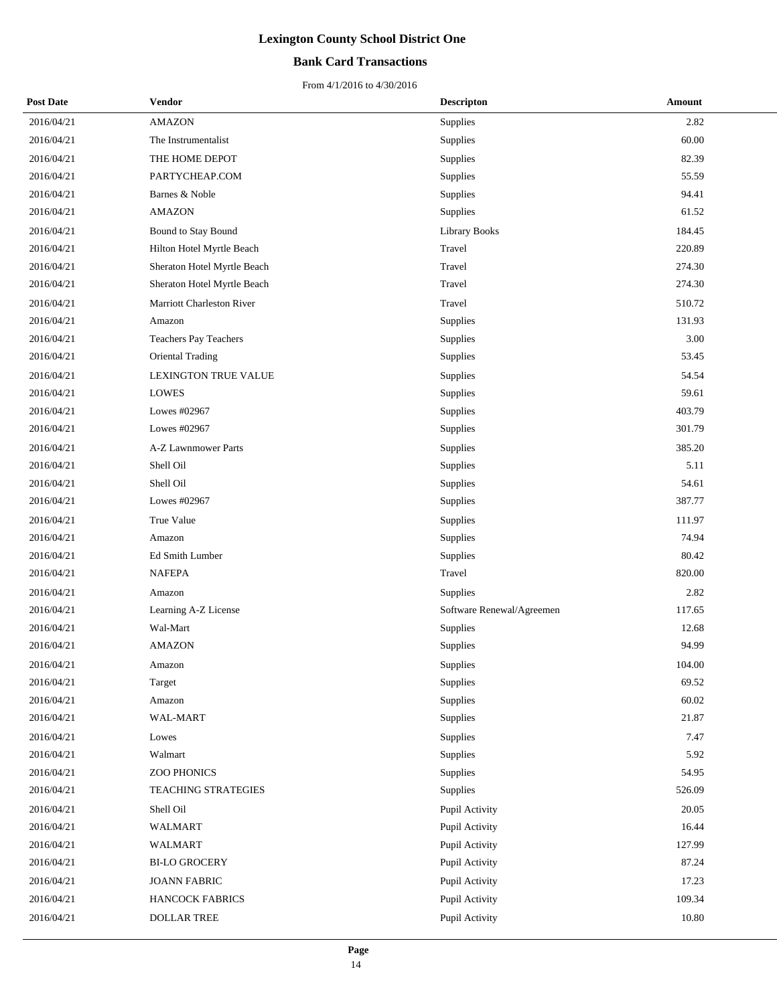## **Bank Card Transactions**

| <b>Post Date</b> | Vendor                      | <b>Descripton</b>         | Amount |
|------------------|-----------------------------|---------------------------|--------|
| 2016/04/21       | <b>AMAZON</b>               | Supplies                  | 2.82   |
| 2016/04/21       | The Instrumentalist         | Supplies                  | 60.00  |
| 2016/04/21       | THE HOME DEPOT              | Supplies                  | 82.39  |
| 2016/04/21       | PARTYCHEAP.COM              | Supplies                  | 55.59  |
| 2016/04/21       | Barnes & Noble              | Supplies                  | 94.41  |
| 2016/04/21       | <b>AMAZON</b>               | Supplies                  | 61.52  |
| 2016/04/21       | Bound to Stay Bound         | <b>Library Books</b>      | 184.45 |
| 2016/04/21       | Hilton Hotel Myrtle Beach   | Travel                    | 220.89 |
| 2016/04/21       | Sheraton Hotel Myrtle Beach | Travel                    | 274.30 |
| 2016/04/21       | Sheraton Hotel Myrtle Beach | Travel                    | 274.30 |
| 2016/04/21       | Marriott Charleston River   | Travel                    | 510.72 |
| 2016/04/21       | Amazon                      | Supplies                  | 131.93 |
| 2016/04/21       | Teachers Pay Teachers       | Supplies                  | 3.00   |
| 2016/04/21       | Oriental Trading            | Supplies                  | 53.45  |
| 2016/04/21       | <b>LEXINGTON TRUE VALUE</b> | Supplies                  | 54.54  |
| 2016/04/21       | <b>LOWES</b>                | Supplies                  | 59.61  |
| 2016/04/21       | Lowes #02967                | Supplies                  | 403.79 |
| 2016/04/21       | Lowes #02967                | Supplies                  | 301.79 |
| 2016/04/21       | A-Z Lawnmower Parts         | Supplies                  | 385.20 |
| 2016/04/21       | Shell Oil                   | Supplies                  | 5.11   |
| 2016/04/21       | Shell Oil                   | Supplies                  | 54.61  |
| 2016/04/21       | Lowes #02967                | Supplies                  | 387.77 |
| 2016/04/21       | True Value                  | Supplies                  | 111.97 |
| 2016/04/21       | Amazon                      | Supplies                  | 74.94  |
| 2016/04/21       | Ed Smith Lumber             | Supplies                  | 80.42  |
| 2016/04/21       | <b>NAFEPA</b>               | Travel                    | 820.00 |
| 2016/04/21       | Amazon                      | Supplies                  | 2.82   |
| 2016/04/21       | Learning A-Z License        | Software Renewal/Agreemen | 117.65 |
| 2016/04/21       | Wal-Mart                    | Supplies                  | 12.68  |
| 2016/04/21       | <b>AMAZON</b>               | Supplies                  | 94.99  |
| 2016/04/21       | Amazon                      | Supplies                  | 104.00 |
| 2016/04/21       | Target                      | Supplies                  | 69.52  |
| 2016/04/21       | Amazon                      | <b>Supplies</b>           | 60.02  |
| 2016/04/21       | WAL-MART                    | Supplies                  | 21.87  |
| 2016/04/21       | Lowes                       | Supplies                  | 7.47   |
| 2016/04/21       | Walmart                     | Supplies                  | 5.92   |
| 2016/04/21       | ZOO PHONICS                 | Supplies                  | 54.95  |
| 2016/04/21       | TEACHING STRATEGIES         | Supplies                  | 526.09 |
| 2016/04/21       | Shell Oil                   | Pupil Activity            | 20.05  |
| 2016/04/21       | WALMART                     | Pupil Activity            | 16.44  |
| 2016/04/21       | WALMART                     | Pupil Activity            | 127.99 |
| 2016/04/21       | <b>BI-LO GROCERY</b>        | Pupil Activity            | 87.24  |
| 2016/04/21       | <b>JOANN FABRIC</b>         | Pupil Activity            | 17.23  |
| 2016/04/21       | HANCOCK FABRICS             | Pupil Activity            | 109.34 |
| 2016/04/21       | DOLLAR TREE                 | Pupil Activity            | 10.80  |
|                  |                             |                           |        |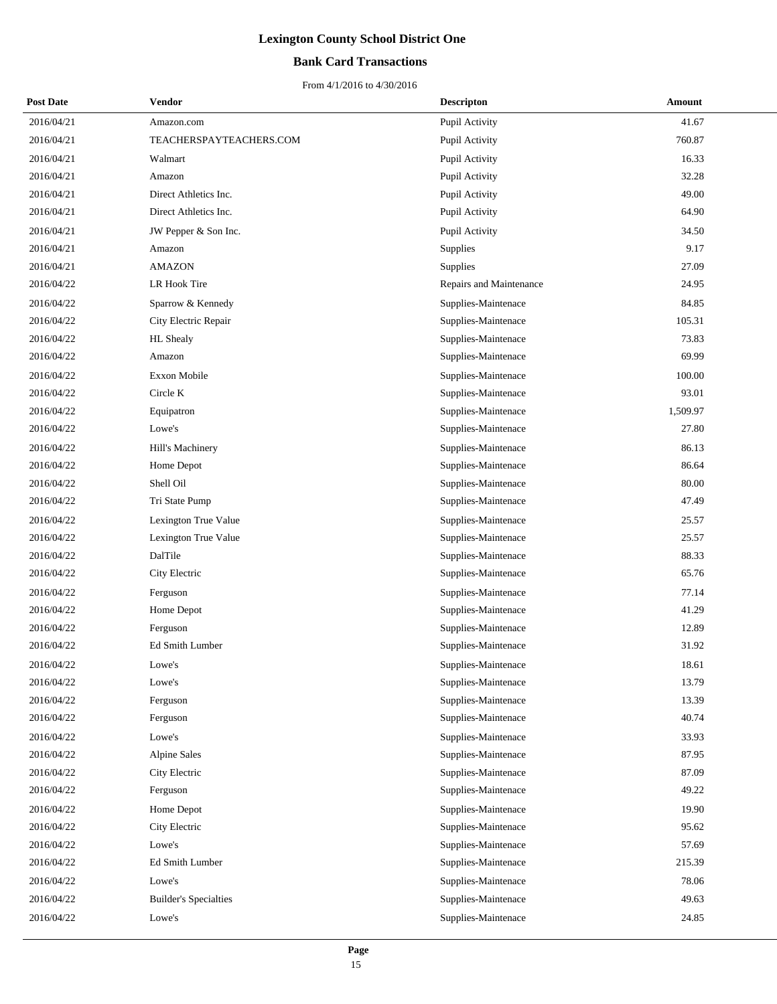## **Bank Card Transactions**

| <b>Post Date</b> | Vendor                       | <b>Descripton</b>       | Amount   |
|------------------|------------------------------|-------------------------|----------|
| 2016/04/21       | Amazon.com                   | Pupil Activity          | 41.67    |
| 2016/04/21       | TEACHERSPAYTEACHERS.COM      | Pupil Activity          | 760.87   |
| 2016/04/21       | Walmart                      | Pupil Activity          | 16.33    |
| 2016/04/21       | Amazon                       | Pupil Activity          | 32.28    |
| 2016/04/21       | Direct Athletics Inc.        | Pupil Activity          | 49.00    |
| 2016/04/21       | Direct Athletics Inc.        | Pupil Activity          | 64.90    |
| 2016/04/21       | JW Pepper & Son Inc.         | Pupil Activity          | 34.50    |
| 2016/04/21       | Amazon                       | Supplies                | 9.17     |
| 2016/04/21       | <b>AMAZON</b>                | Supplies                | 27.09    |
| 2016/04/22       | LR Hook Tire                 | Repairs and Maintenance | 24.95    |
| 2016/04/22       | Sparrow & Kennedy            | Supplies-Maintenace     | 84.85    |
| 2016/04/22       | City Electric Repair         | Supplies-Maintenace     | 105.31   |
| 2016/04/22       | HL Shealy                    | Supplies-Maintenace     | 73.83    |
| 2016/04/22       | Amazon                       | Supplies-Maintenace     | 69.99    |
| 2016/04/22       | <b>Exxon Mobile</b>          | Supplies-Maintenace     | 100.00   |
| 2016/04/22       | Circle K                     | Supplies-Maintenace     | 93.01    |
| 2016/04/22       | Equipatron                   | Supplies-Maintenace     | 1,509.97 |
| 2016/04/22       | Lowe's                       | Supplies-Maintenace     | 27.80    |
| 2016/04/22       | Hill's Machinery             | Supplies-Maintenace     | 86.13    |
| 2016/04/22       | Home Depot                   | Supplies-Maintenace     | 86.64    |
| 2016/04/22       | Shell Oil                    | Supplies-Maintenace     | 80.00    |
| 2016/04/22       | Tri State Pump               | Supplies-Maintenace     | 47.49    |
| 2016/04/22       | Lexington True Value         | Supplies-Maintenace     | 25.57    |
| 2016/04/22       | Lexington True Value         | Supplies-Maintenace     | 25.57    |
| 2016/04/22       | DalTile                      | Supplies-Maintenace     | 88.33    |
| 2016/04/22       | City Electric                | Supplies-Maintenace     | 65.76    |
| 2016/04/22       | Ferguson                     | Supplies-Maintenace     | 77.14    |
| 2016/04/22       | Home Depot                   | Supplies-Maintenace     | 41.29    |
| 2016/04/22       | Ferguson                     | Supplies-Maintenace     | 12.89    |
| 2016/04/22       | Ed Smith Lumber              | Supplies-Maintenace     | 31.92    |
| 2016/04/22       | Lowe's                       | Supplies-Maintenace     | 18.61    |
| 2016/04/22       | Lowe's                       | Supplies-Maintenace     | 13.79    |
| 2016/04/22       | Ferguson                     | Supplies-Maintenace     | 13.39    |
| 2016/04/22       | Ferguson                     | Supplies-Maintenace     | 40.74    |
| 2016/04/22       | Lowe's                       | Supplies-Maintenace     | 33.93    |
| 2016/04/22       | <b>Alpine Sales</b>          | Supplies-Maintenace     | 87.95    |
| 2016/04/22       | City Electric                | Supplies-Maintenace     | 87.09    |
| 2016/04/22       | Ferguson                     | Supplies-Maintenace     | 49.22    |
| 2016/04/22       | Home Depot                   | Supplies-Maintenace     | 19.90    |
| 2016/04/22       | City Electric                | Supplies-Maintenace     | 95.62    |
| 2016/04/22       | Lowe's                       | Supplies-Maintenace     | 57.69    |
| 2016/04/22       | Ed Smith Lumber              | Supplies-Maintenace     | 215.39   |
| 2016/04/22       | Lowe's                       | Supplies-Maintenace     | 78.06    |
| 2016/04/22       | <b>Builder's Specialties</b> | Supplies-Maintenace     | 49.63    |
| 2016/04/22       | Lowe's                       | Supplies-Maintenace     | 24.85    |
|                  |                              |                         |          |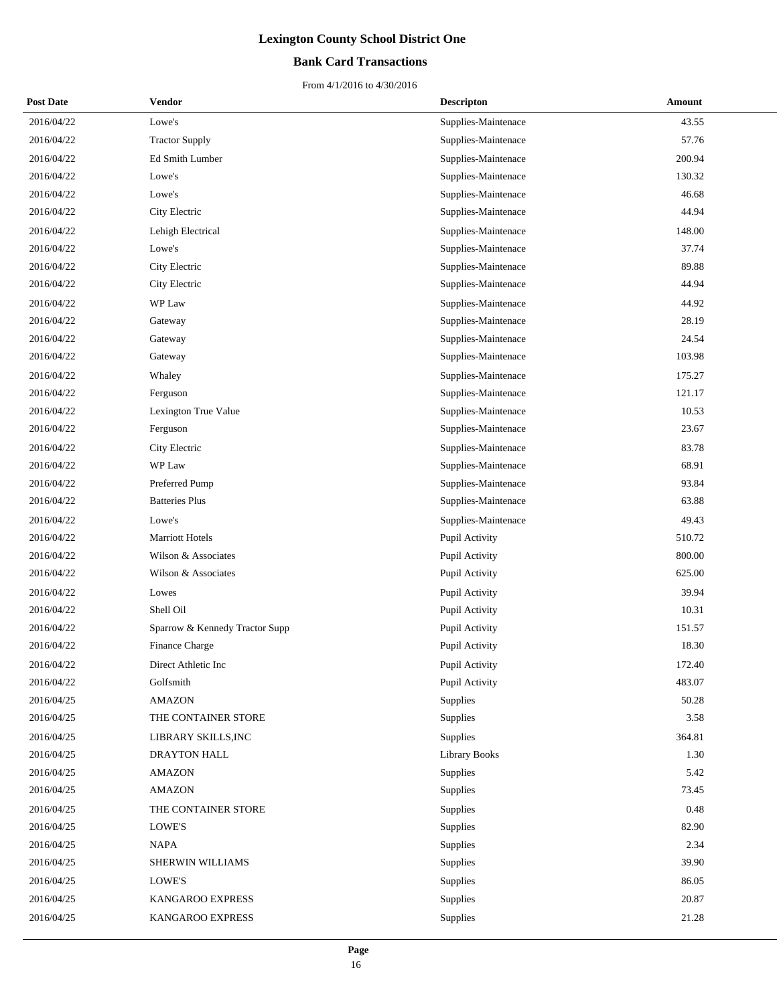## **Bank Card Transactions**

| <b>Post Date</b> | Vendor                         | <b>Descripton</b>   | Amount |
|------------------|--------------------------------|---------------------|--------|
| 2016/04/22       | Lowe's                         | Supplies-Maintenace | 43.55  |
| 2016/04/22       | <b>Tractor Supply</b>          | Supplies-Maintenace | 57.76  |
| 2016/04/22       | Ed Smith Lumber                | Supplies-Maintenace | 200.94 |
| 2016/04/22       | Lowe's                         | Supplies-Maintenace | 130.32 |
| 2016/04/22       | Lowe's                         | Supplies-Maintenace | 46.68  |
| 2016/04/22       | City Electric                  | Supplies-Maintenace | 44.94  |
| 2016/04/22       | Lehigh Electrical              | Supplies-Maintenace | 148.00 |
| 2016/04/22       | Lowe's                         | Supplies-Maintenace | 37.74  |
| 2016/04/22       | City Electric                  | Supplies-Maintenace | 89.88  |
| 2016/04/22       | City Electric                  | Supplies-Maintenace | 44.94  |
| 2016/04/22       | WP Law                         | Supplies-Maintenace | 44.92  |
| 2016/04/22       | Gateway                        | Supplies-Maintenace | 28.19  |
| 2016/04/22       | Gateway                        | Supplies-Maintenace | 24.54  |
| 2016/04/22       | Gateway                        | Supplies-Maintenace | 103.98 |
| 2016/04/22       | Whaley                         | Supplies-Maintenace | 175.27 |
| 2016/04/22       | Ferguson                       | Supplies-Maintenace | 121.17 |
| 2016/04/22       | Lexington True Value           | Supplies-Maintenace | 10.53  |
| 2016/04/22       | Ferguson                       | Supplies-Maintenace | 23.67  |
| 2016/04/22       | City Electric                  | Supplies-Maintenace | 83.78  |
| 2016/04/22       | WP Law                         | Supplies-Maintenace | 68.91  |
| 2016/04/22       | Preferred Pump                 | Supplies-Maintenace | 93.84  |
| 2016/04/22       | <b>Batteries Plus</b>          | Supplies-Maintenace | 63.88  |
| 2016/04/22       | Lowe's                         | Supplies-Maintenace | 49.43  |
| 2016/04/22       | <b>Marriott Hotels</b>         | Pupil Activity      | 510.72 |
| 2016/04/22       | Wilson & Associates            | Pupil Activity      | 800.00 |
| 2016/04/22       | Wilson & Associates            | Pupil Activity      | 625.00 |
| 2016/04/22       | Lowes                          | Pupil Activity      | 39.94  |
| 2016/04/22       | Shell Oil                      | Pupil Activity      | 10.31  |
| 2016/04/22       | Sparrow & Kennedy Tractor Supp | Pupil Activity      | 151.57 |
| 2016/04/22       | Finance Charge                 | Pupil Activity      | 18.30  |
| 2016/04/22       | Direct Athletic Inc.           | Pupil Activity      | 172.40 |
| 2016/04/22       | Golfsmith                      | Pupil Activity      | 483.07 |
| 2016/04/25       | <b>AMAZON</b>                  | Supplies            | 50.28  |
| 2016/04/25       | THE CONTAINER STORE            | Supplies            | 3.58   |
| 2016/04/25       | LIBRARY SKILLS, INC            | Supplies            | 364.81 |
| 2016/04/25       | DRAYTON HALL                   | Library Books       | 1.30   |
| 2016/04/25       | <b>AMAZON</b>                  | Supplies            | 5.42   |
| 2016/04/25       | <b>AMAZON</b>                  | Supplies            | 73.45  |
| 2016/04/25       | THE CONTAINER STORE            | Supplies            | 0.48   |
| 2016/04/25       | LOWE'S                         | Supplies            | 82.90  |
| 2016/04/25       | <b>NAPA</b>                    | Supplies            | 2.34   |
| 2016/04/25       | SHERWIN WILLIAMS               | Supplies            | 39.90  |
| 2016/04/25       | LOWE'S                         | Supplies            | 86.05  |
| 2016/04/25       | KANGAROO EXPRESS               | Supplies            | 20.87  |
| 2016/04/25       | KANGAROO EXPRESS               | Supplies            | 21.28  |
|                  |                                |                     |        |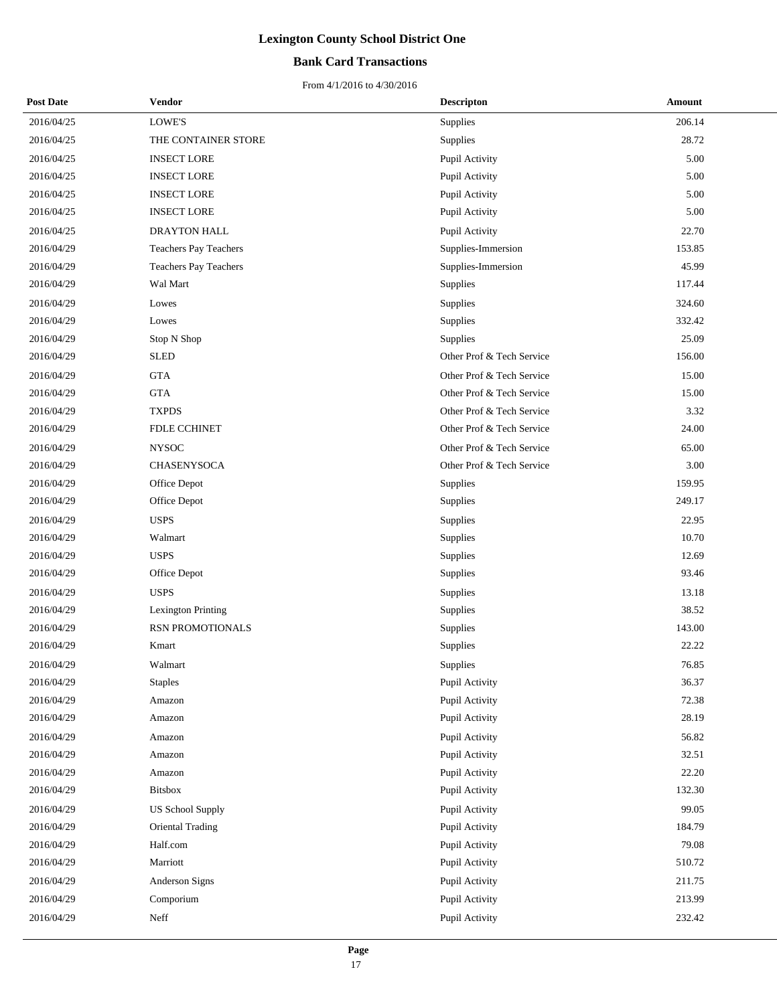## **Bank Card Transactions**

| <b>Post Date</b> | Vendor                    | <b>Descripton</b>         | Amount |
|------------------|---------------------------|---------------------------|--------|
| 2016/04/25       | LOWE'S                    | Supplies                  | 206.14 |
| 2016/04/25       | THE CONTAINER STORE       | Supplies                  | 28.72  |
| 2016/04/25       | <b>INSECT LORE</b>        | Pupil Activity            | 5.00   |
| 2016/04/25       | <b>INSECT LORE</b>        | Pupil Activity            | 5.00   |
| 2016/04/25       | <b>INSECT LORE</b>        | Pupil Activity            | 5.00   |
| 2016/04/25       | <b>INSECT LORE</b>        | Pupil Activity            | 5.00   |
| 2016/04/25       | <b>DRAYTON HALL</b>       | Pupil Activity            | 22.70  |
| 2016/04/29       | Teachers Pay Teachers     | Supplies-Immersion        | 153.85 |
| 2016/04/29       | Teachers Pay Teachers     | Supplies-Immersion        | 45.99  |
| 2016/04/29       | Wal Mart                  | Supplies                  | 117.44 |
| 2016/04/29       | Lowes                     | Supplies                  | 324.60 |
| 2016/04/29       | Lowes                     | Supplies                  | 332.42 |
| 2016/04/29       | Stop N Shop               | Supplies                  | 25.09  |
| 2016/04/29       | <b>SLED</b>               | Other Prof & Tech Service | 156.00 |
| 2016/04/29       | <b>GTA</b>                | Other Prof & Tech Service | 15.00  |
| 2016/04/29       | <b>GTA</b>                | Other Prof & Tech Service | 15.00  |
| 2016/04/29       | <b>TXPDS</b>              | Other Prof & Tech Service | 3.32   |
| 2016/04/29       | FDLE CCHINET              | Other Prof & Tech Service | 24.00  |
| 2016/04/29       | <b>NYSOC</b>              | Other Prof & Tech Service | 65.00  |
| 2016/04/29       | <b>CHASENYSOCA</b>        | Other Prof & Tech Service | 3.00   |
| 2016/04/29       | Office Depot              | Supplies                  | 159.95 |
| 2016/04/29       | Office Depot              | Supplies                  | 249.17 |
| 2016/04/29       | <b>USPS</b>               | Supplies                  | 22.95  |
| 2016/04/29       | Walmart                   | Supplies                  | 10.70  |
| 2016/04/29       | <b>USPS</b>               | Supplies                  | 12.69  |
| 2016/04/29       | Office Depot              | Supplies                  | 93.46  |
| 2016/04/29       | <b>USPS</b>               | Supplies                  | 13.18  |
| 2016/04/29       | <b>Lexington Printing</b> | Supplies                  | 38.52  |
| 2016/04/29       | RSN PROMOTIONALS          | Supplies                  | 143.00 |
| 2016/04/29       | Kmart                     | Supplies                  | 22.22  |
| 2016/04/29       | Walmart                   | Supplies                  | 76.85  |
| 2016/04/29       | <b>Staples</b>            | Pupil Activity            | 36.37  |
| 2016/04/29       | Amazon                    | Pupil Activity            | 72.38  |
| 2016/04/29       | Amazon                    | Pupil Activity            | 28.19  |
| 2016/04/29       | Amazon                    | Pupil Activity            | 56.82  |
| 2016/04/29       | Amazon                    | Pupil Activity            | 32.51  |
| 2016/04/29       | Amazon                    | Pupil Activity            | 22.20  |
| 2016/04/29       | <b>Bitsbox</b>            | Pupil Activity            | 132.30 |
| 2016/04/29       | <b>US School Supply</b>   | Pupil Activity            | 99.05  |
| 2016/04/29       | <b>Oriental Trading</b>   | Pupil Activity            | 184.79 |
| 2016/04/29       | Half.com                  | Pupil Activity            | 79.08  |
| 2016/04/29       | Marriott                  | Pupil Activity            | 510.72 |
| 2016/04/29       | Anderson Signs            | Pupil Activity            | 211.75 |
| 2016/04/29       | Comporium                 | Pupil Activity            | 213.99 |
| 2016/04/29       | Neff                      | Pupil Activity            | 232.42 |
|                  |                           |                           |        |